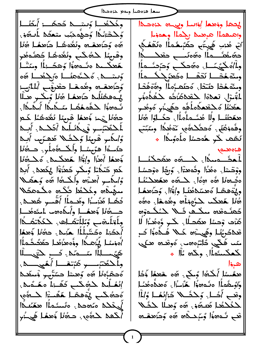سما فزوهنا وتوم جزوحها

وخُلْخُمِ الرَّسِيمُ كَحَكَبَ أَمَكُنَا ۖ وَحْدْتَهُكُا وَحَيْمَحِبَبِ مِتْعَفِّهُ لِمَنْهُوْ. هُه وُحَرُهضُه وِنُعْدِهُا حَرْهِمًا هُا وفَعِهَا لِمَاهُكُم ونُقُوهُا كَعنُوهُر وَسِسْـــدْ. هُـحْـشُومِنْـــا هُوجْـعُبْــا هُو وَحَامَدَهِ وِهُدَهَـا حقَرَوْب ٱلْمُرَّبِ لْمَحْفَلُكُمْ حَرَّهْمَا هُلاِّ وَكِيرِ هِـلْل بْــووُا ۖـدْهُمْمُــا مَـــدُماْ أَيـدُماْ. حدُّمًا ﴾ من أوهها قربها لَعْدَهُا كَمَّا لَم لَمَحْتَبَسِ فَيَحَانُـلُمْ أَكَحَــم. أُبِــمْ وُامكُس قَرِيمًا وُحْثُـلا مُتَعَرِّمِـا أُلِــدَ دَاَسْدَاً هِ ُمِسْمَا وَأَكْسُوهُ مِلْرٍ . حَسَنُهُ لَا ذَهِهَا أَهْزًا وَإِذًا هَهْكُمُ وَكَسْرًا وَإِذَا كُم كَتَكُمْا وُحْكُو كَعَنُوْٓا لِكَعِدا ۚ. أَبِهِ وُامكُسو أَهنَّوه وأَلْحُدْهُ! هُ٥ وَحِكَمَلًا سَهُمْهِ وِخُلْطُ ثَبْلِهِ مِلْـٰٰءِمَكَـٰا دُهُــا هُنُنــُٰأ وهُـــهاُا أُقُـــو هُـعـــمْ. حـــوُمُل ذُهِــَـــل وأَسكُوهب لمشَوهُــــل وِلَمَوْلَمِشْبِ وُبَالَمْتَصَاهِ. حَكَمْتَصُـدًا أُحكَنِهُ وكَتَبْهِلُما هُنِيهِ. حوْمُل وُهِهَا أُدفئا لِأَهدَا وِذُهمْأَهُا حَكَمُدَّداً المسرينك بسنة بمنصده الملسريفة وأكفترسو هُبْتما أهيصه كَحِثْوَبُوْلَا هُو وُهِيْدَا حِيَثَنِي وُسِعْجِدَ إِنْعُـلَـٰم لِدِيُّكَبِ كَفَـٰٓۂ مَعَّـَمْدَ. وَهُكُمْ ابْتُمُهْدُ لَـــهُمَنْ كَـــهُمْ وَكُمْ مِنْهُمْ المُنفَعَه الْمَشْمَةُ . مَحَمَّد مَكْتُرِزُ أَحْكَمُ لَحَدُّوهِ. دَمُّلُمْ وَمَعْدُ فَيَخْرَ

لحصا وذهما إذالنا وييده حزهصها واهتقفا المرمدة ركفاا وتعوما |آبْ هُنابِ هَيْبَنِ حَكَبُهُمَا أَ مَنْقَمُكُمْ دِهَكْشُــدَاْ دَهَدَنَــبِ حَعْدَـــدِّاْ وِٱلْمُكَيِّسًا. ٥%حكَب وُحَرَّحْشُـهِ/ ومثَّمْهْكَ لَتَّقْطَ مَكْعَدِّكُمْ الْمَسْمَلَ ومثَّمَعْدًا مَنْتَدًا. هُحَنُعَـزُه أَلْ وِهُمْقُدَدًا لمُوَّىرًا. تَعْدَةَا حَقْدَكْتُوَ حَفْدُهُوُ هَعُمُمُا مَكِتَعِمُهُمَا فَقِي حَيْيَ وَجَعِيمَ هَهُدَنُنُــا وِلَا هُنُــداه(اً. حكَــاوُا هُرُا وِقُودُهُّلٌ . هُحثُكْرُهُم ۖ نَّهَهُكُمْ! وَسَبِّنَتِي لَّتْقَعَدُ لَكُمْ هُوَجَمَا وَأُوتُوَلَّمَا ﴾ فزه همه أحدً مسمًا. لمستق مكحكنًا ووۡقَـٰنۡمَا ۚ. ۚ هَٰذُا ۖ وِثَّـٰءَهَـٰتَا ۖ . ۖ وَرَٰكُمْ ا هَوۡحَـٰمُـٰا ۖ ەكسەلل شى سىما. كەن ھەھلىنىل ويتوهصا وهمكم والأال وحزمها هُمُا هَعجَمَا حَجَّوْدَاه وِهُدهَا. ٥٥ُ٥ كَمْشُوْهُدُهُ مِيكُلْكُ لِمَا لِمُتَكُلُوهُو كَنْت وْحِسًا مِكْحِلًا. ݣُـرِ وُهِمْـُ:ا لَا هَٰٰهُكُوبُهُا وِفَي آه كَــلا فَــٰهُووُا كَــرِ سُد قَكَي دُلتِوها. ەُوشدە ملك كْمْكْسِتُهْدَانِ وِكْتَهُ بْلَا ﴾ هبوذا همُسْلاً أَحْدُهُ! وُسَكَّى. هُو هَعْجُلاً وَٰحُلَّا وَٱوۡعِثُماۡا مِنۡءَوۡوَا ۖ هُنۡءَـُّ;ا ۪. ۚ هَمَدۡاهِ هُمُـٰا وقب أَحْسا. وَحْشَى الْأَزَائِعُا وَٱلْمَا لِمُلْكُما هُدِهُو. هُو وُهِلًا لِمُشَلَّا هْبِ نُــ90\$ وُـَرِّـمَـــدُهِ هُ٥ وَجَزَهَــقــ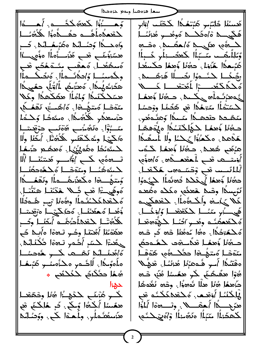سما فزوهنا وتوم جزوحها كَمِعْتُ وَوَا لِلْكَمْرَةُ كُثْبِ هِ. أَحْسَنُهُ ا كَسِيْنَا كَاتِبِ كَبْتِمْكَا كَتْتَب إِوَّارِ للتَعمدُه أُهْـــه حفُـــدُهُوُا لِكُوُهُـــا كَحْكِيكُمْ ۞اهكَنْكُمْ ۞وهُنْبُو هُوَتُنُسَأَ وَاهْتَــٰٰهَا وَجِئْــابُنَا هِجَنِّـمْــابُنَا. كَـــزِ صے ہ کمکے اضمراض کے لگا ہوشک هَمَانُوَمِّلَـــ هُدَى مَدَّنَـــأَهْ أَمَّالَ مَؤْمِيلِ وَمَالَمُكُــد مَّــَ ٓبِلَٰا كَلَحْثَـــ ۚ;لَٰہٖ كَــٰ بِلَٰا ەُمەھُكْل. ەْھەْب مِشْتَاھْكُى شَي |كَبْسِمْا| هَنْزَمْا. دَوْنَا زَهِمْا حَكْسِعْدا رَجُىحُــا كِنُــوَوُا تِكَـــلَا فَرْهُـــمِكَ. وِجُومِيْنَا وَاصِلَاتُواْ. وَيُصَحُّـواْ الْمَرِيغَا لِأَوْالُمْ رِضْبَتُمَنَّ الْمَوْشَبَكَتَه ەكككىب ئىقتىسىلىك همَّــْـكْنُـمَا وَٰٓءَٰمَاْ هككـْـهِـمَا وِخَـلا لِمُسَّمَٰلًا مُتَعَذَّا هُوَ هُكُسُا وَوْحِسُا ۖ دْٸىعىكىر ﯩﮕﯩﺪ دُﻣﺎ. ﻣﯩﮕﻪﻛـﺎ ﻛِﻜﯩﻪﻟ مَحْشَـده حَنْحمــدًا مَـْــدَّا وَهِئُــدَمُدِ. حشُلًا زَمِعْهِ الْمُتَكَالُولَ مَ يَوْمِعَهِ مَنْسَزُوْلُ. دَنُدُمْنُوبِ هُدَنَسِي حَرْقِيْشِيا هَاجْهَا وِشَكْفَنُس لَكُمُنْا. أَيَّظُ ولَا هَكُلُهُمْ. مَكْمُزْدُ كَكْمُ وَلَا لَمُعَشَّمَا لِهُمْمَاءُ الْمَرْيَٰلِ}. هُمْهُمْ حَبْسُهِ هِ مُعْمَى هُعْدَا. حَقَّلًا وُعْمًا كَنَّفَ تَــــههُم كَــــ إِوَّاـــــــر هَـنتنْتَـــا أَلَلَا أفشست تنب لمقصده وأموقو ٱلملسَّىب هَي وْتَسْـه بِ هَنْتَهْـا. لحشاها ومحتوشا وكمحافي هُوفَي أَلا هُبِ فَهِ اللَّهُ هَنَّمُهُ اللَّهُ عَنْتُمْ إِ. تُوْسِيْدًا وِصْدْ هْعْنُوْمٍ وَكُلْدْ وْهُعْدْ كَحْتَمْكُلْمُنْدَمُلْ وِرْدُهُ رَبِّ رَحْدَكُمْ الْمُحَمَّدُ كَمَالٌ كَاسِفٍ وَأَكْتَرَةٌ مِلْمًا . كَمْتَعَطَّيْهِمْ دُمُكُم مَعَمَّنُكُ). مَحَكِّدَكُم مَرْقَدِهِكُمْ فَي زُيرٍ مَنْكَ حَكَمْهُكَ وَإِذْكُمْ . لْحَدُّشْـا لِكَعْلاَلُدُوْهُــه أَمَثَلُـا وَكَــرِ كككعفئد وفب افئا لحقةهقا هكَمْمُنْا أَهُنْتَا وِحُـو تَـ30\$ هَأْبِــمْ كَـع هَكَمُبْكُمَاً. 6% مُمَكِّئًا دُ5 كَرِ دُ5 حِكْمَنَا لَحْسَمِ أَشَمِرٍ تَـ30\$ هُكْتُلَهُمْ. حسَنُهُ لَمْ أَوْهَدُ مَعْ الْمُحَمَّدِ مَعْنَدَدَ مِنْهُمْ مِنْهُمْ مِنْ ەُ/مُسُلِّلُهِ نُھْــم حُـــو هُوصئـــا مَتَوْصًا مُتَوَىِّدُا حَثَكَ هُوَ مُتَوَسَّل ەلمۇمگا. لاڭــەر ەڭمىئــر كېْــھـا ەقتىكا أسو ھُـەمۇلا ھُزىُـا. ھَيْىلا ھُمُ حثَّلَاصٌ حُنُّدُهُ ﴾ ھُوٓا ھڪُنگَيَّ لُکو ھڪُنٺا ھُنَہ شَھ حَرْهِهُا هُلَا هِلَا نُوهِوْا. وِحْمَ نُعْوِهُا حجزا بْلَكْنُنَا أُوْشَفَ. هَكْتَفْكَكْنُمْ شَيْ لْحُـــرِ هُنْسًــح لحكَــهِـــُّا هُـُل وحْتَفقـــا ھمَسْا أَجْـُهُا مُجِـكَى. كَـرِ ـمُلَكَّـنَةٍ هُع هَدَمِيْسِيدًا أَحْصَيْدًا . وتَسْبَحْهُ أَلَمْ أَ لِكَـٰهِكَـٰزَاٰ الْمُبَاْلِ هَ مَشَالًا وَٱوَلَىٰكَـٰفَـٰفَـٰلِمَـٰفَـٰفَـٰفَـٰفَـٰفَـٰفَـٰفَـٰفَـٰ هزَممعُنُمار. واحده كلى. ووَصَلَهُا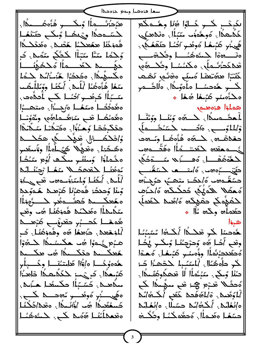سما فزوهنا وتوم جزوحها لكَبِيْبِ كْــرِ كْـاوُا وُلِمَا وِهْــوكْم كَكْتْتْخَلّْ). كْوْجْتْدْوْبْ مْتْبَابْلْ. دْنْتْلْاتْلْتْيْ فُودُمُل محَمدِّمُل حَصْدٍ. ومَحْدَدُا فَيْ مَبْسُمًا دَوِهُــرِ ٱكْنُـا حَنْقَهُـكَلِ . ەتــــەةا چـىئەھئــــا وڭــەتــــ وَحِدُءًا مَثَا مَتِأَلَّا حُجْكَ مَمُمدٌ. كَرِ هْكِكْتُونُـْـملَٰى. مكْسُسُــا وِثُكْـــوهُى مكسهُماً. مَحْدُرًا هُزْسَرْاُهُمْ لِحَمَّا كَتْتْ هِجَا تَعْمَلْ مَسْلَى مِهْشَى لَهْصَ مَعْمَا فُزُّهِكُمْا أَلَمْكِ. أَمَكْنَا وَوُمَالِمُكَب لْكْسِرِ لِمُوْصِدًا مِلَاهُ مِكْمَالٍ. وَلَاضُبِيهِر مَّــَہُاْ کَہِھُـــو اَکُنُــا کُــح اْکِہُ۔۔ ەلمۇەمئىر كَبُرْها ھُھَا ﴾ ەھْدْتُــا ممّىئــا ەُرجــاْ. مىھــاْ معملوا هزه معلم أَهشَـــهمدُا . ۖ ــــــرَه ه وُنُنُـــا وَوُنْنَــا ەھْدىُھُــا ھَــې مَىْزْھُــداھُوب وشَوُيْــا حْكَرْحُصْا وَحَنُوْا. وكَتْݣْسَا عَـكْتَمْا وْالْمَاوُمِـــــى. %َـُـــــــــه كَــُمْمُكْــــمْلَى حقاهُـــه. لمـــهُه فُنُهمُــا وَـُــهف وُاطْكُمْ زُلْ. شِيْݣُلْكُلِي هِكْمَاءُ ەھْىكْنا. ەشنىلا ھَيُساْماْا وتَسْعَس ﴾ معقده للكعنتسة المؤتمر ەڭداۋا ۆمىللىر مىڭىڭ /ۇەر مىلىكى لمفْقُدُ ا. هُ صِيَرْ مُسْتَقَدُو كَتْيْبْ مُسْتَدْمَة مُسْتَدْمًا مِنْ مَنْتَقْسَب مُوهُنَا كَتَعْمِكُكُمْ مَعْمَا رْجِئْنَالُكُمْ أَلَمَلهِ. أَمَكْنَا وَلَمْمَرْؤُسُوهِ فَي حَمَاؤُ حمّقُدهب هُ/حكَّة مقصبٌ حَوَجِبَّة هُهكُلا لِلْمَهْلَى كَعِنْدْدُه هَا مَا مَهْ وَمِنًا وَحدَدُ: فَوَهِبُنَا هَزْمِنَا ـ هَوَجَدًا لمُضْمَكُمْ حَمْعُكُمْ هَاكُعُمْ لَحْكُمْهِمْ مَعْمَلَاً ــــــــــــــــــــــــوُرِيدَةُ الْمُسْمَدِينَ مِنْ الْمُسْمَدِينَ مِنْ الْمُسْمَدِينَ مَكْمِــٰهَمَا وَهُــٰــُـٰهِ هُـُوهُـُـٰلٌ هُــٰ وِهْــِي حَقْدَ الله وكله عَلَّا \* هُمهْــا كُحــــرُ وحَمْرَوْبٍ كَبْهِـــــه ھېۋا هُدَمِنَا كُمْ شَكْدًا أَكْدَّا تُسَّبُّدُا ٱلموْحْمَدِ }. حَزَمَهُا وَهُمْ وَقُمْوَهُمُا }. كَــر وهَبِ أَحُـل هُ٥ وَحرْجِنُنْـل وُمحْــرِ لِكَــٰلا هَـرُمْ يُـهُواْ هُـد هَكْسْنَـمَاْ لَكَــهُوَاْ كَمِعْكُمْ مِنْكُمْ مِمَّالٌ هُـ مِكْمِمَّد ەَحكَنجَرْتُمَالَ وِذْهِنَبِ كَرُمُهَا. كَمَصْدَا كُرِ حاهِ هُمَالَ. ٱلْمِمَبِهِ لِحَدْهِ أَلْ حَهُمْ الْمَحْمَدِينَ الْمَحْمَدِينَ الْمَحْمَدِينَ الْ حَدَدوُحُــــا دَانُوا مَحامتِمُتَـــا وحُــــــبِلُر كَبُعَمَالَ. كَرِيْسِ: حَكَمَ عَمَالَ شَاهِدُا دَّمُّا وَّـكَى. مَّـرُّدَّاً لَا مْتَعَكُّوكُنَّـمَاً. سكُعدي حُمِّيَةً حَكْسَعُدا حَيْمِي هُحشُلًا شَـْرَم صَبْ: شَـهِ سَمْسَمَا كَـهِ أَلْمُؤْهَّدِهِ. وْالْمُؤْهَدِهِ لَمَعْنِ أَلْحُدْهُ اُنْدَ ەقھىسسۇر قوقىسىر ئەدىسىدىكىسى. ە/ئىغائىل ، أىڭ ئەكائىل ھىنىلل ، م/ئىغىائىل كَسِعُتُنجَالَ هُ۔ اوْٓائُـبِجَالِ وَهُـٰهِۖاکَـٰحُـُـُـلِّـا ەقىمملَىْنْىل ھَەَمم كَىب. كىشەھْنْىل حمَّعُه وهُده الْإِ. هُجعُده حُمَّه وحُكْتُه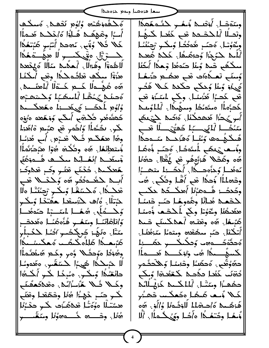سما فزوهنا وتوم جزوحها ومَتَوْصًا. أَوْتَسَـٰهُ وُمصُـٰرِ حَشَـٰمَهُمَا َەَ؎ْھُەَوْھُدُە وُ*ا*وُم نُتَھ⊾. ەَسڭى وتَصِلًا أَلمَكْشَحِهِ هَبِ كَقُبًا كُنَّهَا. أُسِرًا وِصْهَكُمْ قَالَةًا هَامْلَكُمْ هَدَاًا لَحْلا ثَلا وُقُو. مُحكم أُتَبَسٍ كَبُتِمُوا وثَّةُوْسًا. هُحَسْرِ هُودُدُمْ وُحَكْسٍ رَحِبُنُمُا ِحْـــــوْتْل. هَقِّىكْـــــــــو لَل هَجَّــــتَمْعُدًا<br>لَلهُمَّةُ وَهُبَالًا. أَحْمَدُ مَعَلِّلًا هَلِحْمَدُ أَلَمْكُمْ حُجُرُمْ أَوْحَاهُمْهَا. كَحْكُمْ هُعْكُمْ مىڭگە شىك ۋىئا ھىّەھُل ۋىمكَّا أَمَكْنَا، هْزَٰوْٓا مِىكُفّْ هْاِئُـهْكُمَّا وْهْمْ أَمْكُنُـا أَوۡمَلَّــ تَعۡـٰكَاٰءَاتَ شَــبِ مَنۡصُـٰع حُنۡـُمُـا كَيْݣُو وّْمُلْا وُحْكَى حَكْدَهْ خَـْلَا قَضُو رَكُمْ وَالْمُسْتَمَالُ الْمَسْتَمَالِيَةِ مِنْ الْمُسْتَمَاتِيَةِ مِنْ الْمُسْتَمَاتِيَةِ مِنْ متصتكغ لنحسلأ لشرح صلحة هْمِ جُحِبًا هُنُسُا. وِكِّي الْمِيَّنُوْ هُمِ وُاوُم لَمَكْتَ وَاسِعُدِ الْمَسْنَةِ مَعْتَكَسِيْد |كَحَزُه|| مىثَمَنْحُل وسهْبِهْا. }المُتَوَسِيط كَعنُهمُو ثَكِلْهُم أُمكُم وُوْهُمُو هُرُوْهِ أَسِرِ كِحَزَّا مَحْمَدُمَّا. هَاضُمْ حَيْسِمَهِ لْكُرِ. ىكَنّْمَلَٰا وُاحُّمر هُي هَبْيع ةَاهُدَا سِمَّاتُ الْسَرْتَةُ عَاجَسِ الْمَالِكَةَ مِنَّاتِ الْمَسْمَدَةِ مِنَّاتِ الْمَسْمَدَةِ قُبْلُهُـوْتُ وَيُنُـا هُوَّزَجَــهِ مَـوْدَا وهُا محكَّــم شَــلاً هَـــرْم. أَبِ هُـٰ:ـُـل ؤْمَتْتَعَالُهُا. هُ٥ وِثُكْلُه هُوْا هَذِّكْرُنَّهُا! ووََّــعانَ بَـنَـٰهَــمِ الْمَثَمَثَــمَ فَسَنَّمِ وَثَمَــمِ وَثَمَــمَــمَــمِــمَــمَــمِــمَــم هُه وِكَحْلاً فَزْوَفُرٍ ثُمْ يُقْدَلَ حَمَّلًا مَحَمَّلًا فَي ـهَعدَكـــمه. حُكْسًى هَنُـــر وكَـــر هَــهْ.وكَـــز |عُمعُصل وَحزَّه حصكُل: أَحكَصرَاء مقعصرًا وِدْهِ الْمَالُمُ وَحِدًا هُمِ أَقْبَلَ وِضَكُمْ. هُمْ أُسِــم للــقُــــەدُدُر ۞ه وُلمــْدَــلا هَــِ هْكِمَا. هَكْسَفْا وُحْكِر رْحِنْتْنَا هَالْ وكَحْصًـٰ: فَــه\$بُا أُهكْــكُمْ حَكْــب حَبْتُلَ وُهُ حَتَّمِيْهِمْ حَقَّتَهُمْ وَحَكْثِرِ لحثمك مُلألًا وهُدوهُا حَبْ دْسُا هكَعكُمُا وهُوُمْا وكُمْ لَمُحْشَفٌ وُّوسُمْا وَحَــــەُمُ: ﴿ هُـصُــا الْمَــــْهُا حَدُهُـــا وَاتَاهَانَنَّا مِنَعُــرِ فُزُّههُنَـا ههَدَــْـرِ كَبُرْهَا. هُ٥ وِقْلُه أَهْلَكْسَكِ شَيْدًا مَنْنَا. وَبَهَٰ: جُرِيْكُحُسِرِ ٱكْسُل حَكَبِلَهِر أتكْتَا. حَبْ معقَّقَتَه ومتممًا مَنْهُنَا. كَبُرْهِــدًا كَالمُوكَّنِّــ وَحَكَّنْــدَاهُ ەدئەكسىمەت ۆقگىگىسى بىگسىزلم لَّكْسِيْنِــْمَدًا هُـْ وَٱوْكَـــْـِـدْ هَـــْمَلَٰا وِهُوَدًا هَوۡحَشَٰلا وُم وِكَـٰع هَٰىغُنُـٰهَـٰ ا لا حَبْكِمَا هَيْ احْسَقْبِ. مَعْدُوسًا دەُوۡڜٗﻰ . ەۡحکۡسُا وِحۡسُـا وَ لِلۡحَفُـٰمِرِ حائقىدًا وَحْسِ. ەَجِمْا حْسِ أَحْدَهُا دُةَنَبِ كَعُدا حَكَمَد كَمَعُدُهَا وُلِكَج حفْفُرْا وِمَتْدا. أَلْمَلْكُمْ كَرْبَكْلاَبُمْ وكَمِلا شَلا هُنْدُانُكِ. ٥شكلُحقُسَّع لَّىلا وُّىما كَتْتَقَارِ هَكُمْكْسَا تْتَقْبُر لكـــر حـُــر لْكَهــُ;ا هُنُا وحْتَفْعَــا وقْتُب همُتَـلًا هُوُهَٰـًا هُـهُـمَـُوب ـكْــرٍ حَــَّـرُكُـا كَرْهُــدا هُ/د\_شالم لَلوْشُـدُلم وُ/أُوْ . شَه ذَمَا وِحْتَمُـدًا هِ أَحْـا وَيُكُـدِلًا. أَلَا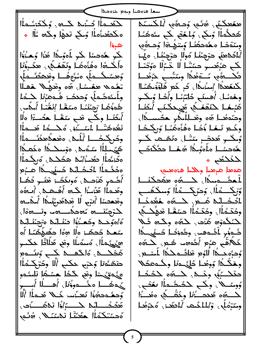سما فزوهما وموم جزوحها لْكَعْــواْلِ كُــزُهِمْ لِكْـــرَهِ . وَكُكّْزَئْــواْلِ همُعطِكْيَةٍ . هُنُمٍ وَحدَّةُمٍ أَمْكَسَمُكُمْ مَكْتَعْدَّەمْ اگْرْبَكْ نْدْهَا وِكْلَّة عْلَا ﴾ ھَحِكُماًا وَحَكَ . وَاَحَقَ كَبِ حَدُمُنَا حرؤا ومَتَوْسًا مِمُوْجَهُمْ وَمِتْنَهُوا وَجِدِوَى لْكُو هُوَجِبًا لَكُو لَمَوْجِدًا هُذَا وَجِدَّوَّا ٱلْمُدَهَنِّ حَرْجِئْنَا هُواَإِ حَرْجِئْنَا. وَلَمْ أَ لَّكُمْ هُزُهُدَيْنَ صَمَتْنَا لَا خَذَبْلَا هَوَقْتَنَا ەَكْسەھ دەۋەھلىرىقىگىلى ھكىرۇلا وَهشكـــهلُ هنُوُهمُـــا وقِهتَــُــملُ كُلْـــوُّى مُـــوْهُدًا ومَنْبُـبِ حَرْهُـــا كَنْفَعْدَا إِسْتُدَا. كَرِ كُمْ قَاوْقُتْصُدًا! تْعُمْلا مْغْسْلَ. ۋە وْتْدْيْلا خْفْلَا وأُمثَه شَملُ وَحدَد: فَــهمُرُنَا ۖ ــــهُـا وهُمْنَا. أَهْسَفَ كَاتَبْنَا وَأَكْلَ وُحَكَّـرٍ هُوَوُهُـا رَحِنُنُـا ممَعْـا إِنُعُْـَا أَـكُبِ. كَبُسُا كَنَقْشُكُمْ مُحِكِّنَبِ أَمَثِلُا أَمَحُنُـا وِكْبِ شَبِي مَنْقَـا هِتُمــٰٓرَا هِلَا وحَدَمُه أَهُمْ وَمُطَلَّلُكُمْ حَصَّىطًا. لُعْدِمُتْهِ الْمَحْرَفِ وَحَصَدُهُ مَحْسَدًا وكَــع تَــعُــا وَّدُــا هفَّوْهُمُــا وَرِكِّـمُــا وُكْبِ هَدَيْـ مَنْـْا. هَهْـما كْــو وَحُرِجٌمْتُـــا أَلَمَـلٌ . هِ تَعْمَدُهِدُتُـــداًا المُعَدُما الْمُسَمَّدِ. وَمِعْدُمَا وَحُمِدًا هُوَصِيْــا وَأَوَوُنَـٰهَا وُهَــا حَثَكَاكَـــع ەكزشەلما كېيىز ئىكى ئىم كىما | لمنُلقُلم \* ەخْشەلَا لمُصْصَلَىْنَا ھَسَيُنَا الْمَسْرَمَ عمعا عرهما وللحا فزوهم أَشَّـم و كَنْحـــــمْ. كَوىكَكَـــز قَتلَـــر كَــمُـــل وهُدهلُّا هُنْدُوْا كِلَّهِ أَقْتِعِكُمْ. أَنَّهُهُ وَّزِيْكَــــمُلًا. وَحَرَجْـَـــمُلًا وَسككَــــح وثَعْمَدْ الْمَرْبِ ۚ لَا شَدْثَمُوبُنُدَدًا ٱمْدَدِهِ لمُصْلِبُمْ هُــو. كـــوّه هُڤُدكُــل وكُنّْـدُاً. وكُنّْـدُاً حَمَّقْـا شَهْـٰكُمْ للترجئتس ومحكمسوم وتسوءان كَاكْوِهِــدْ وِحُمْـزُوْا تِّسُّلُهُ وْرَصُفُـلُهُمْ لْمَنْكُمْوْهِ كُنْوَى. لْمَدُّهِ وَلَّكُمْهِ شَلًّا مَّعـد حَحمَّـ: ولَا هِوَٰا حَفَىٰهُمَّـٰا أَه خُـهِوُّرٍ ۖ أُضُـهِفٍ ۚ وَحُهُوْصًا ضَنيُـٰـٰهَا ۖ الْمَحْمَدُا. كَمشَملًا وقْع كَعَلَاتْنَا حَكْسِر كَلَهُقُمْ هَزُمَ أَحَدُهم هُو. كَلّهُه وَحزَّهِ حِــٰهَا لَاوُمِ هَاضُــه حَـٰهَا لَمَسْــم . كَشْكَـــدْ. كَالْكَـْـْـدْ كَــَــحْ وُنتَـــوم حنْقَمْهْا وَحْبَى حكْبِ أَلَّا ۚ وِكَرَجِّــٰهُ أَل وهْنُداً وُوهُـا كَلِيُــهُ/ وكُــهِصَكَلا وصُماهَ الصله المكل جوه السري موْه حلْكُ بَهُي وحْكم الحَدُّه وَ حَكْمُهُ ا وُوسًا . ولَكَ لِكَمشُملًا لَمُصَّدِ. كحما منسوؤُمُل أهسلًا أُمِسِير لمستَوَّه مُحصَّنُهُا وِخُتُّكُمْ وَهُـــَٰٓا وُحِمُّـٰ وَصُوُوا نُعِــَرْمِبِ لَكِــِلا مُحْــٰهِ] [آلا وِمَتَرْهُلُو. وْالْمُلْمُدْ اْلْمَعْدَ. هَجَرْهُمْ هَدَّمُكَــــأَبَــمْ ۖ ـكُـــــَمْ}وُّا تَــْاهُـــــــــوَٰدِ. كَحْسَكُهُاْ هِعَمْتْلْ لْمُسَكِّلْ . هُنُم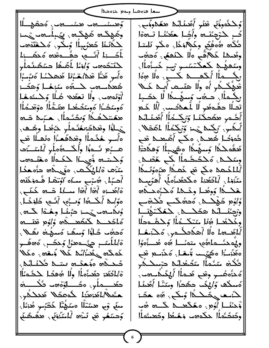سما فزوهنا وتوم جزوحها وُهسْتَسْتَوْتَ هِيتَسَبْرُوتَ وَحَقَّتِي الْمُسْتَوْتَ مِنْ أَوُ حَـٰـدُهُ وَوَٰٓفَ ۖ شَفُـرُ لَمُعَـنُـلَّكُمْ ۖ مَـمَكُمْ وَوَّىٰـبٍ ۚ وَ أَكْسِ لِكَبْرَجِنْنَـْدَهِ وِأَكْسَا هَفَكْنُـا نَـْدَهَا بمرتر سحمابرین و همگهه همگهه ی ئَكُلُه ۞هفِّكِي وِكَلِاهِكُلْ. هكْر نَاسْل ِكْدُنُنُا خَعْزَىٰٓٓٓٓہِۗا وُحْكَرٍ. ەَكْمُتَّةَ وَبِ أَكَـــزا أَنَـــمِ حفَـــمِعْده مَحكَـــزا وقُعطاً خَلاقَهِ وَلَا كَنُعَهَى. هَدَهُب للنّتَحُده وَإِذْنَا لَمُمَدُّا حَمَّهُمنُـدَلُر ومَعَهُـد لَكَـمَكْـتَمَــرِ رَبِّ لَمَــزُّه أَلْ رجم عالم أحجب الأصلي، ولا هِوْا هأس هَنَّا هَـهَا، هَـهُـرْنَا هُـهـكـُـا هُـبُّــرَّا تَعَهّْكُـِـكُمْ أَه وَلَا هَنَّــت أَبِــدْ خَــلا رِكِمال كُلُوب وَسَهْمَا لَا حَكَـٰبِهِ أَوْتُوهب. ولَا تَعصُد صُلًا وَحَسَنُهُمُا إِتْصَاا حَقَّـٰهِ مَر الْمَحْصَبِ. أَلَّا خَـٰـٰمِ كَومِمْكُمُّا كَومِمْكُمْعَا ه*ِمْ*تُمُّا وَوْتَعَــٰهُ/ هِمَتِيْدُهُـٰدًا وَيُشْمِلُا . حَـَيْدِ شَـُهِ |أَشُــْمِ مِكْحَكْـُـا وِّزْبِكْــدُاًا أَمَّـنُــابُـمْ أَسْكُسِ. رَبِّكُمْ يَسْ وَرْبِكُمُاْ لِمَحْمَلًا . جَاوُّا وِمْحَكَّرْتَهُنَّدَاُرِ حَرِّهُمَا وِهُـفِ. حُودُــٰا هُعــدٌ. مكّــ أُمُبِعـد هَــ داُسو هُنُـداُ! وِتَعَدَّفَعـہُ! دنُـصاً! تَب هَفُمَكُمَا مُِسَهَّىمًا مِتَّى بِلَمَا وَهَكُمْ حَسَرُم شَـٰدوُّا وأَكْـَـٰدِهُولُرِ ٱلْمُمَــَزَت ومعلقه للصكك المرهأ هشكي وسَكَّد. هَكْشُدُه اللَّه هُتَسِد. مْنْزَى هَالْمُكْكَتْ. ەقْرىكْرْلْمَا مْتَوْھْكْلْمْ ٱلْمُلَّكُنُّكُمْ مَكَّلٍ هُمْ خُصْخًا مَرَّدُونُكُمَّا ۖ آحبًا. هُبْب ممَّاه ٱوَّتْصَا فُءفكُلُه مَنَّزَوْمًا ۚ. أَمْأَكَكُنْهُمْ مَكْحَكْدَؤُهِ لَهُمْ أُهْرَٰهِيهِ ۖ ةَاهَدْوَ أَهْا أَهَا مِسْلَا شَدْهِ كَتَبَ. هْكَــكَا وُوهُــا وخْــكاـ هَكْوُمْحَـكُلُه ەوُاھ اُكْتُوا وَسِرُّى الَّــهِ كَافْحًا. ۇ/ۇم كۆكىگە. كَحەُكىپ ئىكەب وُلِكُلْمِينَ مِنْ حَبَّلًا وَهُــَةًا لَكَــةٍ. وتركنا أكم هكك هبر حككتونيا كَاكَنْكُمْ لَكْتُمْعَنْتُ وَٱوُمْ شَنْسَهِ وحُكِمُّا هُمُا مَتَكَـــهُـلًا وَحَــمُـــمَالًا أَبْلَغْـها وَلَا أَهْلَاصْـُـوبِ وَحْبَطْـا ەُدەُب كُـاوُّا وَمىگَـز ەَمىھُـدَ بَگــلا . ةُالْمَلْسَمِ حِيْحِمْرَلَ وُحْصَـٰرٍ. هُ۞هَـــر أَوْلِمَحْشَــْـــَامُّهُ مِنْـَــَامُ هُوَ هُــــَّهُوَا كَلْدُه . 95 مَلْكُمْ كَمَلاً وَعَصْفَهِ 20 مَكْمَلَة ەھَنُسُرُا ەھَيُّىب تُمسَّلَ. ەَحَبَّىم شَي تَكْنَ مَعْنُماْ! مَكَتْعَلِّكُمْ حَبْعَكُمْ كَىدىكُ ۞ وَوُهكْتُ بَيْنَاهَا وَيُحْلُبُكُمْ. أَهْدَأُه هُـــر وقب هُــداًا أَهْكُـدادهــ . هُ/اکَعُدْ حَعُدْٓوَا إِلَّا هُٯۡحُـا ۖ كَحُـوْـاْلِ كَسِكُف وُ/لِكُب حَثَمَتُوا وِسَتْبَا أُهُسُلَ هنَّملاًاهُزمزُا لأَهْمَكْلا مُعْلَـٰدُمِ. لْمُسْمَدِ مِنْهِ مِنْكُمْ وَمِنْكُمْ مِنْكُمْ مِنْكُمْ مِنْكُمْ مِنْكُمْ مِنْكُمْ مِنْكُمْ مِنْكُمْ مِنَّ وَبِ هِمُتَلَّا مِمَّهُنَّا خَصَّصٍ هُزْمًا. وْحْنُمْـا أُوُمْ. مَكَنْفْـا كْــْدَ هُبْ وَحِسَّعُوا هُمْ لَيْزَاهَا أَمْلَئَزْوَلَىٰ. هَقَعَتَّفَضَّ وَحُبَّصَهُ الْمَكْدُهُ فَهُبِعُداً وَحُمْدُهُ ا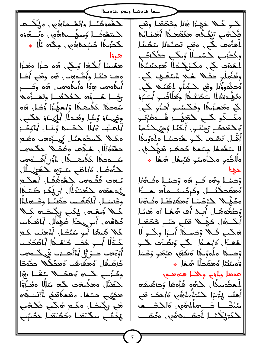سما فزوهنا وتوم جزوحها لْكُفُووْهُمُــا والُعُــْـداهُوه . ولِكُــْـت كْبِ كَـلا خَمْـُ;ا هُلا وصْفَقْعَا وقْب لِكَسْتَهُدَكُمْ وَسَيْمِيهِ مِثْلَةٍ وَكُلْتَ وَقَاوَةٍ طَّحْمَے رَبِّکُ۩ہ مکْقَعِـدًا أَمَّسُـلَّـدَ كْحَزْمُا حُبِّدْاهُو . وِكْلَا \* أَفْزُوها كُلِّ. وَهْلِ نُهْدُومُا مُنْقُمُلُ وحُدَّنے حمصلًا وُحکّی حثَّدَکّی ھېۋا همُسْلاً أَحْدُهُا وُحَكٍّ. هُو حيًّا وهُنُّا لَمُعَآفِ کَلْ : هَکْتَرِکُمُ اَلَّا هُنْتِمَحْلُمُ ا ەھە: ئىُنْلا وأُشُەھە. ، ھُە وقْع أَهُل وهُذُهاُمٍ حثَــلا هُــلا لمَـنفَــهِـ كَــح. أسكوهب وده المكامحين وه وكسب ەَحِثُودُوُلِ وقع حَـهُلُو لِمَعْنَــلا كَــنْ. رجُــا هَـــروْه حككعُــا وتَعــوْه ەنْݣُەۋەلْل مَتْقَتْلُدا وَهَٰلْاتَّصَـر ٱمۡـَـٰٓءِ مَدَدُا خَذَىهِدًا وَاهِيُّاْ ذَكَرٍ. هَ كُمْ هَمْعُنُمَا وَقُدَّيِّسِ أَصْرَ كُلِّ. وِكَهِدَاوْ وُمِنُا وِهُدِهِ أَلْمَىٰكَاوْ حَكْبٍ. ەكْمُو كْبِ حْقْدُ: ڤَمْدَرُّسُو هَكْعُدَكَ ۚ رَحِنُنُـرٍ ﴾ أَمَثَلًا وَجَهَكْـمَا )ْلمَدَّت وْالْمَالْ لِكَشْمِيمْ وُسُلْ. إْلَمْ وَكْتَرْ أُقْبَلَ تَنْقَبْ حُبْ حُوصِبُنَا وَأُوَوُجُا مَكَّلًا كَستُمْعَلْلِ. يُهِجُّوهما مصُّم حَقَّةُ الْمُلْ. هَــدُه هَـدُ لا حَكْـده لَا مُعْدَهُا ومَعَها كَحصَّ: شَهْلُنَاي . مَـــودُا كَدُهــدًا. لَوُرٍ/ُفَــةِهـ ەللېم مكزُەمبُر كَبُرْهَا. ھُمَّا \* لِلْمُؤْمَمِّلِ مَكْتَرِهِ حَكَيْنَ الْمُؤْمِنَةِ الْمُسْتَدَمَّةِ مِنْ الْمُسْتَدَمَّةِ مِنْ الْمُس حجزا مُــ90 كَثُــ99 لِــعُومُكُــا لِـ مُــحْـــم وْحِسُلُ وِهُهِ كُبِ هُهِ وْحِسُلُ هَٰصُلًا لَّهُ سَنْمَ بَكْلِي، الْمُسْكُكُ مَتَقَدَّمِرْ ەَھكَھكْنُــا. وِكَرِكَـىنْـــەلەھ ــــزًا ودْمِيْلِ. ٱلْمُكَسِّى حَكْسُلٍ وحْسِهِلْمَا وكَهْلا كَرْدّْسْلَ وُهْدَرْدْسَلْ وَحُــْوَيْلَ أَوُحلُعُدهُـا. أَبِــدَ أَف هُـهُـا أَد هُدْـُـا كَــلا مُــقـــة . إِنَّكَبَ بِكِـُـدَّت كَــلا كَمْقَة ، أُمرِيحةُ اخْصِرِ بِهِ أَمْلَاءِ لِلْمَكْمَنِ أَكْــةًا. كَهْــلا شَي حَسْـ حْققيا هُكُب شُلا وْتْسَلَّا أَسْرًا وِكْبَ لَا كَلا هَيْهَا أَس مَنْحًا. آلمَعْب كَـْم كَتْݣَالْ أُسِير هُصْعِ مَّتَعْبَدُا ٱلْمُكَدَّس ـهُـْــُ: أَنْ هَــُهُ لَــَــِ وَبِكَــْتِ لَحْــبِ أَوْةِهم صَوْرٌ لَا الْمَصْرَبِ قَيْلَهُ مِهْمَ وْحِسَدًا مَأْهُوَيْدًا مُتَكَمَّى هَزْهُدٍ وْخَسْأَ كَامُىغُل. ەُھفَرْھُب ەُھكَىْلا حِثّەْجْل وْهِمْنُنَا هُمْكُتْلَا هُـمُّا ﴾ وَحُنَّىبِ كَبِـرَهِ هَعَكَـــا مِبْقْــا رَوْا هوهدا ولمؤم وللنبأ فزوهيم لْكَعْتُلْ. وَهُكُمْرُوْتَ لَكُنْ مَعْالًا وَهُدُوْٓا لْمَحْمَىكُمْلِ. كَثَمَه فُزْهِكُمْ وَحَرَصُنْفُوه هَكُهُم حَمَّعُلَ. هَ هُمَاتَهُمْ ۖ أَٱتْسُـٰدُ ٥ أَهْلَبَ لِتَبْسَأَ كَمُنْكُوبِكُمْ وَالْحَكْرَ هُبِ مَمُثْــا حْــملَلْمُوْهِ. وَالْحَصْــم قبی رگنگا. ہگٹ شکلے شکشے للكَتوْلِيْكْتْسَا لِمُحصَّىماهُوبْ وَحُصَّىب لمَنَّىب مىگتقىل ەڭھَتقىل حصَّرَىب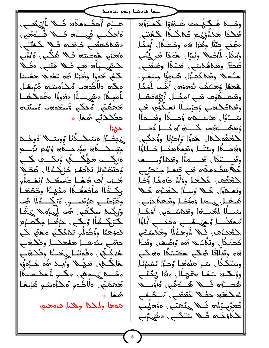سما فزوهما وموم جزوحها هَــَزِم أَهفُــه&ه فَــلا لَمُايَكُعب . وتَـــدا فَــكِــهُـــمَّ شُــوَّةٍ كَــــَـوْتُونَ هُ/َكْمَــــعِ كَبِيْـــأَرْهِ شَـــلا شُـــتَمْعَـعٍ. مَحْدُمُ مَحْلَفٍ وَحَمْدُهُ! حَمْتُنِي. ههُكُم كِنْنًا وهُدًا هُه وشَتْرُكًا. أُوْخُـا ەھْدْكَھْمُبْ كَبِھْـ ھُـْلا كَـْمُنْبْ. هُاهَنَّهِ هُوَهِمْهُ ثَلا هُنُّكُم . وُٱلْمَمِ والحُل: لَمَاصْلاً وِنُبُل: هَٰٓفَطْاً شَرِلَيُّنِ لحقىبِ أَنْ هُمْ فَلا قُتُبٌ. هُمُلا كَحْتْلَ وقْدْكُدْسًى. قُسْدًا وصُنَّفْ . لْكُلُّمْ هُدَوْا وِهُٰ;نُا هُ٥ نْغُدْلا هَمْسْاً هنَّملا وِتْعَلَّمْكُمْ!. هُـ7هُ! وِسُعْبٍ. لْمُعْمَا وُهِنْتُفْ نُهُوْوُو . أَقْبَ لَمُوْخُوا مكته ەللُڪُتەپ مُحثَّمتىت ھُبُعُلَ. لمَوۡمِكَا ۚ مِتَّىٰ ۖ بِلَٰا ۚ مِثۡوَوۡا ۚ مِثۡمَكۡكَــٰكَــٰـا وهْھــدُوُهـ، هَـــ أُمكِــا. أَهْوَضَهــا كَعْتَمَةً }. كَمَكْتَبِ وَمُتَعَدِّدِهِ } كَمَنْتَشَرَدَ وثَدْكُكْتُوب وُحْبُسْلًا تُعْكُوْهِ ۚ ثَبَ حثَكْتُبُهُ وُهُا ﴾ مَّكْرُوْلِ. هِدُمْكُمْ وَجَدْهُا وِهُجْدَا وُهِهُــــزةَ بِ حُـــــةِ أَوْحُـــا وُّحُـــا حمزا لِكَعُثُمِكِكُمْلِ. هُوَدُّا وَادِّبُلْ وِدُحِكُمِ . كبكباه متسلسله ومشلا ةومحمله وَهُدَــدًا مِمَنْــا وقعِمَامحكَــا كَــالمُوْا ووْمِعْكَسَاهُمْ وَوُوْعَكَلُهُ وُٱوُمْ لِنُصْبَعْ ةَرَبَّكَــــــد تَعَوْيُكَــــدًى وَنَكَـــف كَــــح وقُكِستَمْلُ فَكْسَدَاْلُ وِقْدَاءُ وَكَسَنَدَا وَحِنْتَمِثَهُ لَا لَـٰهُكُمْ: كَتِّرِكُــٰهُ/أ. كَكَــٰلا كَلاهِ هُدُه هُد تَعمُّا مِنْحَرَّب هُـــزم /ُڢ هُـمُــا حزْممكَـــــــا إنُعُـــٰماُر للقَفَع. خُلْطُمْ وذُلْمْ حَامِحُا ذَحُا بكَّـثُمُّا مأتـمعُــدًا مدْهــءًا وحْتَّمْــا وتعكوْل: كَمِلاً وَسِمًا لِكَفْتُوهِ كَمِلًا كَعِنْهِ الْجَمْعَةِ وَالْمَسْتَمَاسِينَ بِهِيمَانِينَ مِنْ الْمَسْتَمَاسِيِّينَ مِنْ الْمَسْتَمَاسِ وكَنْحَنَّـــ دَرْكَنْـــــد. كَرْبَكْـــــــهُـلَّا هُـ لَّكَّرُ مُمَاهِبُمِهَا سَعْ . مِكْمُ مَمْكِنَّهُمْ مَكْرَبُهِ مَعْسِلًا لمُعْسِيهًا وقَعَمْعَصْدُو . أَذْكُلُ كَتَرَكَــدُاْ وُكِّــى كَرْهُــا وكَعــرُم هُعَفْتُ الْجِمِيَّمِمَّى مِكْتَمِيعِ ٱلْمُؤَا لحقدَوَم. فَلا لْمُوهَـتُمْلَا وقَدْمَمْهُم ثَەزىمىُا وَذُهْمُر لَمْكَكُّبُ مَعْضٌ كُلِّ كَحَبْكُمْلِ. وِنْكَرِيكَ هُو وَاصَّف. وهُــُزَّا حۋى مۇھئا ھەھلىئا وڭلۇپ هُتِيكُمُ . هِفْوِنُمَا رِهُمْنُ وَضَّلْتُمْ هُه ومُطِلَقًا هُكُم همُتَسْكًا ههُكُم هْلِكُـكُل مِنْ شَنْوَـلا وَأُسِـدْ هُ٥ حُـزُ٥َفً ومِمْتَكُـدًا. مَـّـرٍ هِثُومُحِـلٍّ وَحــٰٓرًا يُـسُرُّـٰلٍ ه مَسْمِدًا بِكُرهِ . وَهُمِينَ مُسَمَّا ووُمْكُلُّهُ مُمْمَّا دَهْلِيَاً. دَوُّا لِمُمَّمَّب كَعْتَمَكَ . ولَاخْمِر ۚ هَٰكُ;ُمِنُــرٍ ۖ كَبُنِـمُـلَّ كُحِــــْ;َهُ شَـــالاً كَــــتْەَفَــى، كَانُوْـــــــلا هُدْهُلُو حثْـلا كَتْفَعُب ِ. هُمْشَبْهِب  $\bullet$   $\mathop{\textsf{L}}\nolimits^{\circ}$ صَوْمَةُ، وَتَعْفَى مَكَّ مِلْكُمْ مِنْهُمْ عوها ولمكثأ وللما فزوهيه لْمُغْفَسُهُ شَلًّا مُتَكَسِبٍ. هَ هُيْ إِس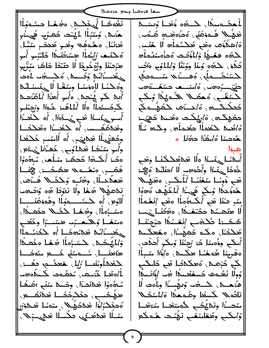سما فزوهنا وعقر جزوحها لْمصَّــممكُا. كـــوَه وُهُــا وَسَــدَ لْفُوعَكُمْ إِلَى الْمُحَمَّدِ. 1⁄2 مِنْ مَسْتَوْمِمَّا مِنْ الْمُحَمَّدِينَ لِمُنْكُلِ وَسُبُطْلًا لِمَهْتُكُمْ كُمْدُبٍ فَيَحِبُّرِ هُدَيْدَ هُــهُمْهُمْ بِـ هُجَّوَهْــهِ كَــُمُــ، ةَاهِكُلُوَى وقْعِ هُكِشُمْلُو لَا هُنَّب. هُزْنُنَا. مِعْدَفِكَ وِهُبِ هُدَشْرِ مَنْتَا. َهَكْنُتُ رُابُعُلًا هِنْدَدُنُنُكُمْا خُاتَبُتُو أُس لِّكْتُهِ فَعُنْهَا وْاْلْمُخْتَ دُحَنُّوْمُنْتُوَلَّةُ هبُحِمُمُا وزَّقِهُوجُا لَا حَنَّتْمَا حَاهُ: مَئِزُّىبِ كَكُوْ. كَتْݣُو وُمْلَا وَوُمْتْلَا وْلَمْلَاوُمِ هَاتُم لمُسَمَّدُ مِنْ وَقِدْ مَنْ مَسْدَدِيْ حەملە سۈمىكەن . كەن ئۇنانىسىقى ومُكْسُلُ للْمَوْسُلِ وَسَعْدَ الْمُسْتَسَارَ مِنْ الْمُسْتَدَمَّةِ وَسَعْدَ الْمُسَارَ حقيب من المستمارة . و من المستوى كَمَقَبَ وَعَصَلًا لِلْدَهِدَارِ وَلَمْتَ أَبِهِ كُبِّ يُبْحِهِ. هأَسِ أُهْزًا لْمُكَرَّحِهِ ِكْرِكْسِتُه*َا*ْا مْلَا *اْ*لْمَاهُمْ خُم*َّا*ا وْرْحِنْ*نُ*و كَعِنْدَكَ مِنْ وَأَحْسَنُوهَا حَكْمُ عَكَمَ أَسوكِ مأ ، أَأَهُمْكُ حِبَّ أَلْسَانِي ﴾ [ هُاهُدِمْ لِحَكْمَا الْحَكْمَالُونِ وِكْتُو مُالْ وثَعِدْهُفَـــب. أَه لِحَـقُعَــأَ الْمَحْـدُـــا وِكَعْتَىٰلًا شَمْلَىٰمٍ. أَه لَلْسُبَرِ خُلْحُدًا هُ حمْدُ أَمْلَٰهُ أَحْمَٰلُ وأُس مَنْكُمْ شَكْلُوُبٍ. هُڪَّأْنُا کُلْگُو: حروا أسلككفها ماله المسلم المكرامة ەكَـز )ُكْـرُه| كَحمَّـز مىْـلَمى. يُـرْهُووُ| فْقَـــز. ەتْعْــە لا ھھَىكَـــز. ݣَالْــا حَدَّهُمْ لِمَسْلَمَ ﴾ [ فَحَدَثَ الْمَرْضَ الْمَعْرَفَ لَهُ مِنْ الْمَعْرَفَ الْمَعْرَفَةِ مِنْ الْ قَبِ وُٓوۡـٰـٰا مَعۡقُنُـا ٱلۡلَـٰا ِ. ہَوۡصُلًا هْهِكُمْحَىلًا. وَهُنَّبِهِ وَحَكْمًا فُتْرَهَ. ِلْمُحَمِّلاً هُـمُّا وِلَا نَاوُدًا هُء وَائْـدهـ هُوَدُهُ الْمُحِيِّ فِي أَمْلَكُهُ هَ وَالْمَلْمَاءِ الْمَدَوَّةِ الْمَدَوَّةِ الْمَدَّوَةِ الْمَدَّ مِّع دُمُلَا هُم أَكْـ هُءَا ا هَمْع إِنْـهُـهَا ا لَلوُم . أَه حَــثَــــــودُلَّا وفُودُهُــــــا لَّا هنَّهِـــَمْمْ حَجَّنَـهُــدًّا. هَوْكَنُــل يَـــــز مَمْــرُّه\$ا. وهُـمْـا حْثَــلا حكْصــدًا. هَمَكَــزا هُـْــْهُبِ إِنُعْــُـدُا حرْجِئُنُــا منفاخ لأسمئ مسارا وككب بِلْمِسْتُهُكُمْ مِنْ الْمُكْتَمَةِ مَنْ الْمُسْتَمْرِ مَكْتُمْلِ. مَكَّدْ كَعَهُّتُمْلِ. مَعَعَلَّكُمْ وْالْمُحَكَّدِ. حَسَنُوْهُ الْمُعْلَمُ مَحْصَدًا أَمكَنِ وِؤْدَمُمُ أَحَٰ: رُحِمُمُ وُمكَن أَدَمُت . ه قَرِيبًا هُمْهُمُا هكْمِهِ. وَإِذًا مَحْبِكَ لِحْقَحِدَاُوِيُسَا رُلِيَ. هَعَنُــمِ دَهَـــز. كُے خَبْصَهُ. هُمْكُمْضًا هُے خَالِكُب وُولًا تُعْـدها كَـسمُعَّــداً هُـا إِذَّانُــداً لمُ/وهَبِل حَزْمِيمِ. مُعِضُوب حَمْيَمُوهِب سُتُّووُا مْدْلَاتْ:ا. وشَــدْ مَنْبِ اكْــفْـا فَنِعِيمٍ فِي الْمُسْتَمَرِ وَبِهِمْ أَوْ وَلَوْدِ لَلَّا مديكَسب . حَدْدْرْحُصَّا مْدْتَكَسْمْ . تَلَثَّمَلا كَسَعًا وهُـمهَا هَا، مُكَكَّلا َهُحَدٌكُمُ أَوْ هُدَكُمُ لَا . عَمْدًا هُدَوْرَ مَحَدُّا وِلْمَايَكَبِ لِكُمْتَعْطِ مَّةِمْط مَسْلًا مْحَمَّصْلِي حَكْسْلًا مْحَمِيْتِهِمْ . أَوُاسْكَبِ وِهُقَامِنْقَبِ لَأَمَنَت هُـمَكُمْ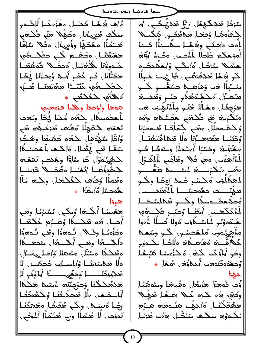سما فزوهما وموم جزوحها ەُ/َ هُـمُـا كَـمْـا. ەفْزُەخُـا لَاَــُــەر مَنْزَحًا هُدَاحَكُهُمَا. ۚ رَبَّلَ هُدَلِّي هُبَ )، أَه مىڭگ مېڭلى. ەڭگەل قىل ئىگىشى كِفُتُوهُا وُحِعُا مْدْمُعُصِّرٍ. مَكْسَلًا لِمُوتَ وَأَكْتَلَى وَوَهُكُمْ مَذَا الْمَسْنَةُ أَلْمَ الْمَسْنَةُ هَنتُهُ أَلْمَ مُهْتَـٰهَا وَوْْمِيهُ أَلْمَ مُعَلِّلًا مُعَافَّا همُتَعُسْلَ. هَحُصْهِ کُبِ حثَکِ هُهِ أەفىھكى شلطلا لملكب مكنا إوُّان خُـهووُنَا لِكُوُوْتَـا. وَحفَــٰلا حَقومُهِـَــا هنَّه لا سُرْحُل. هُ/محْب وْ/هِكْلحَصُرِه هكتُالاً. كَـرِ خُصْرِ أَبِــمْ وُّءحـُّرُّا ۖ لَكُــا لْكُمْ شَمْلَا شَدْفُهْتُمْبِ. شَا كَمَنْ كَـٰبِلَٰأَ لمشكل مؤمر كُتُسْرًا هَدَتَهْسًا هُــَزَر مَّــَّبُلًا هُـد وُفَرْهـــــمْ هنَقُســـو لْحُـــو هَنُعَـٰٓ; } هَكَـهُنَّهُمُو حَيَـرٍ وَتَعَمَّــة ەللەّە لىكلىئىم ، عوها وإؤجدا ولمليا فزوهيم ھرُجِكَا. مِمَّالًا مْنُـرِ وِلْمُنَّكِّـ;۔ شَ لْمَحَّمِىمَاْ. كَمَّە ذُكْلُ لَمَكَا وَمُعَت ەڭگېغە ۋې ئىلىۋىم ھېئىنگە وۋە وُحْشُەكلا. ەقىي جُتەلُصْل مُحەدْرُىل تَعقَم حَـثَمَهِلَا هُڪَمَ هُـزَـكَـدُه هُـع وُدَّنُسًا مِمَّدِمِدُرْا وَلَا مْحِلْفَتْمُتَـا. وُاٰظٌ سُيْتَافُلْ. كَلَّهُ ۚ كَشَمُعُلْ وِهَٰىكُنْ مَمَّزْنُمِينَ وِكَسَٰرًا أُمَّدَمُلًا وِمِنُوكُمْ كُــرٍ مَعْقَا هُجِ يُقْدَالَ. هَا ذَهَبْ الْمَحْمَدُا الْمَأْهَنَىنَ. وَهُمْ ثَلاً وِهُلْتُبِي الْمُلَوَّلِ. لِكَمُّهُوَّا. كَرْ مُّارْْا وِهُكِكْرِ نُعْفُرُهُ لحَثَّدَوُّهُــا إِنْعُنُــا مِهُـْـــلا خَامِنُــا ەھُ مَكْثِرِــــــفَ لمىشــــىم ئىقىســـو لْمَكْلُفِ كَحْسَرِ صْحَا رُوصًا وِحْـرِ هَعْمَلَا وُهَّرَهَا حَكْحَمَّدَا. وحَدَّدَهُ عُلَّا هجُمُـــد حمُّدصمُـــا لْمَاهُنَدـــب. هُ الْمُدْ أَوْ الْمُدَارِ هُدهَهشَـــهمدَا وحُــــــو هُدَامُنُمَدُـــا هبوذا لْمُكَكَّعَــب ، أَمَّتُـا وَحَبَّـ وَكَبَــ وَهُمْ وَهُمْ همُسْلِمْ أَبْكُـرُهُمْ وُحِكَّى. مُسْبُسُلِ وقْبِي أُصُلُ. هُه هَكَــدًا وُهــرُم خُذْهَــا َـهُـتَـٰہُوُـُـہِ ۖ اَلۡاٰمَـٰـٰکُآوَٰٮ ہُولَٰا کَنَــلَٰا اِمَٰوۡوَا ۖ هَخُوْمُـٰا وِضُـْلا . نُـهِرْهُا وِهْـِ نُـهِرْهُا ەلمۇھۇمە كەلمەدىئىر. گىر وىئىمى وَأَحْسَنُوا وَتَعَسَّى أَحْسَنُوا بِ مِتْحَمَدَ جَا كَلَاقْتُ، وَفَرْهَكُمْ وَلَاجًا يُكُومُ وِصُرِ ٱلْمُؤْكَّبِ كُنْهِ . هَكْزُهِيْلُمْ كَبُرْهُمْ وقر المستن المستر الأخدم الأككم وتحفظ المستكفي وُحِمَّدُه دُكُمُ مِنْ أَحِجْهُ بِهِ وَهُ هُلْ ﴾ ەلل ھَدىمَدىنُسل ۋايلىمىگە كَحكَمىز. لَل هْدُوۡوَدُنُــــــا وَحفَّى ــــــٰٓۥۢا ٱلۡاَوۡوَٰٓوِ لَٰا حجزا هَكْفَلَكْنَا وُحرْجِنْتُه لمَسْكُ هَلَكُمَا وَٰٓڡ شَمِعتْزَا مِذَمِعُل مَقَارَهُا وَمِنُوطُطُ <sup>2</sup> المحسون والمتحمد المستخدم المستحدة المستحدة المستحدة المستخدم المستخدم المستخدم المستخدم المستخد وَحُثَىٰ ثَبَى كَلَّهُ اصَّفُا شَهْلاً ههَقَكُسًا. هُ/ههُـ: هنُـهوُده هــرُم رَجُـا ەَىشـە. وڭـى مَحَـمُـا ەھْھحَىُـا ِ نُوفُت . لَا مُنْعَلًا و<sub>َ</sub>ْنِ مُنْعَطَّا ٱلْمَوْتَى . ىُكْتْرُوه مْكْتْ مْنْشْلْ. ھەب ھُزْيَا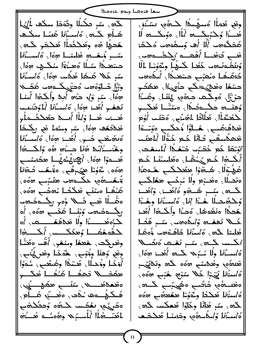سما فزوهما وموم جزوحها كَلَّهِ . مَمْ حَكْمُلًا وقَوْدًا مِكْفَ لَمُلَكِيلًا وِهْدٍ هُدماُ أَمْسِهُما كِلْمُوْمٍ سَنُوْنٍ ھَـاُم كَـــهِ. هُامـــَّأْلَا هُسُــا مىڭــف هُــُّ;ا وَكَبُكْــهِ أَلَمَا. هُوَمِكْــهِ لَا هُحَيًّا هُه ومُحَثَّفَاً مُحَصَّر كَــُه. كَتْݣُوهِبْ ٱلْلَّهُ أَفَّ وُسِقُوهِمْ هُكْتُ: هَب دُرْهُـــا أَقْعَـــه رُكِـدًـــه من. مئب وٌمشيه هُلِبْسا هِهَا. هَامِمِيُّنَا وَسَفَّدسُه حَمُدا حُميًا وخَوْسًا لَمَا حتعجاً سَبَلًا وَمِدُوْٓا سُكَنِّي وَوَا. مَّى لَكُلاً كَعَمُّا مُكْمِي مِهْلَ أَمَامِيَّاتُا كَاهُنفُا مُعْبُبِ مِسْعَدًا. أَنَّكُوهب وَرْزَلَ شَــاؤَةِهــ هَتْنِيكَــهِهــ هُضَــلا حنّفه: الْرِوْنَى حِنَّامِرْكِهُ مَعْكُب هِهَا. مِيْمٍ وْلِي حَوْرَهِ أَبِيهِ وِأَلْحُدُهَا أَمْسًا حَرْزًلَ. هُوِيْحَت حَيْثُمِ لَهُمُلْ. وِهُنْزَا لَعْفُــرِ أَهَٰــٰ: وَهُا. وَامْــُزْنَا ٱلْمُوَدَّىـــ وُقِسُــدِ حَكْسِــوْصُطْلَ. وَمَنْشَــل مُحْسَـــرِ مُحْسَنِت مُحْسَلَ وُ} لَمَا أَيَا لَمْ حَقَيْدَهُــدَاُرِ ِكْتُعَمَّالُ. مَّدَلَاتْنَا ۖ عَاشَيْنِ . هَتَنَّبَ أَوُمِ قَدْفَرْهُبِي. هُــارْٓا وُحكْبِ وَوَّــْــْهَا تَعَدَّكُمُّڤ هِءُا. مَمْ ومِنَّه! تَع رِكْبِخَا مْعِكْسِعٌبِ ثَـالْلَ كَـعِ كَـٰٓاْلَ ٱلْمَسَّـ ەُلەَىقى خُـــو. اُھُـــۃ ھەُا. ەُامىـــُّرُّلُا وهَنْـــاُهُمْ هُمُا دِينَهِ هُه وَالحَــهُ ا |ٱوۡتَمۡا خَم خُصِّرَٮ حُتَّمَٰـٰٰٰٓٓا ٱلۡاَسْعَـٰتِ أَكْسُوا كَــمْ كَيْتْقْـا. ومُعامِّنْنَا كَــمْ مُهْتِهَلَا. هُــقَوْلِ مِعَلالِكَبِ هُــقَمْرَا الَّهَ مَنْهُوْمًا مِنْ رَفَّى وَقَسَّفَ الْمَوْمَانُ تَمْكَسَدَةُ فِي الْمَسْدَدِينَ مَنْكُرُوبِ وَالْمَدَةِ وَالْمَدَةِ وَالْمَدَارِ ەتصلًا. ەقىــرْم ولَا مُركَب مَعَالَكَب كَــــره. مَيْـــر مُحــــرْه و هُاهَـــز. وْاهَـــز كَنُفُـا مَمّْلُـع شَكْتُـا ،ُهتُــع هَهُه. ەتمْسْلَا ھْب ئُسْلا ۋەر رېگىممُدەت كَوْكِيْهِ مِصْلًا هُـَٰٓٓٓا إِنَّا. هُامِيَّزُلَا وِهُـَّأَ |هَحكَمَ المُغْمِعُلِ. وَحبُرْ وأَلْحُلُوا أُهُدِ رِگِــوصُـوم وَمُنُـــا هُـمْــــ وهُو . أو كَبُرْهِ هُــــــزُا وِلَا شَكْلَهُــــــــــم. أه كَمِلاً تُعْقَسُهِ وُٱلْمُأْهَدَاءِ. مَيْمِ قُضُلَ هُدامِنَا كُلُهَ ﴾ أَمْ أَسْرُبُل خَافَتْهِ وَوَهُمَا ﴾ وثدركت فحفظ وسقور أقب مقشا أَكْسَبَ كَيْتُهَا. مَيْسَ تُقْبَضَا وَيَشْبِيْلَا كَامِيُّهُا وَلَا يُسَبِّيهِ كَلِّيهِ أَهْدٍ هِمَّا. وِهْدٍ وَهِمْلُمْ وِوُوْبٍ. هُفَهْمَا وَهْدِرِلْجُنِّبِ. أُفِخُا وِفُحِلًا. مُحْتَمَّا وِكُنُّعَبِ. خُورًا هْدْهُ وهُدْسُ هِ هُ مَلْ وَلَدْنَ جَمْعَ مكْشْسِلا دْهْشْسَا كْنْفْسَا مْكْسْب أَمَاسِيَّةِ الْمَكَّلَّ الْمَتَّتِ الْمَرْبَعَ الْمَرْبَعَ الْمَرْسَمِينَ ەقىملاقىسىلا . مَنْسَى مىكىمىسىَنى . ەھْلىشى، خْزَكْسى ەھْي بِّرْسى ݣْلْـــْلَاه. قَىكْكُمْـــەھ ْمْدَى. ەھُـــَىْ، ھُـــاھ. كَاسْتُوْلَا هُكْكُلْ وِشَوْتَا هِكْمُعَةُبِ ۞هُ٥ ەكبەر بەڭسا كىلەن ئوشكى بوشكەن كَلُّهِ. مَمْ هُلْلًا وِكَمْوُا هُمكُت كَلُّهِ. لمَعْنَـــهُما ٱلْمَــــَــِى مِهْمِمْـــه هُـــأَنف كَاسِنُوْلُمْ وُاحِكُمْسِيْهِم، وشَامِئْلُمْ هُكِنْتُـْفْ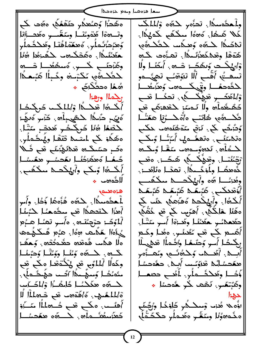سما فزوهنا ونوم جزوحها ەھَدُا وُھلُعْدَمِ حَنَّقْفُیُّ وَهُفَ کُے وِلْمِثْمِىلَا). تَحزُّەرِ ۞هُو وْالْمَلَكُت وتسهةا مُتوسُّل وسَفَّب مَعْصَر اللَّهُ كَلًّا هَمَطًا. هَ‰ا مَكْكُم كَدْلِكًا. وَهزَدُتُماَر. هَعمَّمْاهُمْا وهَكشُماُر تْكَشَكْلْ حْسَبُهْء وُهِيكْسِي حْشَفْ وَهُمْ ھگئىگا. ەڭشكىھە ئىگىزۇدا ۋەل هَدَفَا ومْدْكَعْزُنُـداً. تَعِزُّهِ كُـرُهِ وْارِيْكُـت وُبِتّْقَـتْ: شَــْتْ: أَيْتُتُـا وِلَا وكَتَرْحَنَّــــ كُــــــر. كَممعُعُبْـــا تَـــــــــــو تَسعَــتُهِ أَقَّبَ أَلَّا تَآوُرْهَبُ تَعِيُّــهِ لحثُلُــةُم كَتْبْــة وخُـبِلًا هُبُــهـدًا ھُمُّا ەحثَكَّاكَ \* للدُّدْهُــا وتْكِلْـــدەب وُهَزُبِّهْــا وْالمَعۡصَــِرِ شَهۡمُکَـــکَلِ . تَحکُــا شَــح ريحمال وردا أَحْدُهُا هَدْدًا وْالْمَلْكُتْ خُرِجْتُهِ لِ كَتَّمَنْعُمْلُهِ وِلَا تُـمِّمْ; لِكَتَعْفَرْكُمْ شَى أَمِيْكِمْ حَنْمَا لَكُمْ مِنْ أَمْسِ مَا مِنْ طْـــةُٯٖ هُانّتـــح الْقَـكَـــرُبْلِ هَمّتُــا َكْتُنْهَا هُلَا خَرِكْتُخُنِ مُحْشَرِ مَنْتِلَ. وَدَّىكَ ۖ كُلِّ ۚ نَّرْثَى ۖ مَنْهَ هُنُه هِ ۖ مَكْتَبَ ەلكىئىلى. ەلكىشىمان اُمَرْشا ۋىكى ەھَكَاوْ كَے لمسْما ثَنْقَا وِهُـَـثَماُو. ەكىر ھىئىگە قىلائۇنىئى قى ئىلا لمُسْمَلُهِ. تَدْهُوُسُمْهَا مُتَشَلِّ وُلْمُسْهِ رْتْمُنْسْا. وِتْعَهْكُمْ هُمَكْ: هِ مَعْ كَىغْـا ەُھكْرْخُنْـا بەّجىئــو ھەّىئــا أَكْشَا وَكَبِ وأَرْكِنْحِكْ سَكْتُفِ. خُوهكُما وِلُوْحٌمِيهِۖ! ، تَعَمَّما وَلَأَهُمْ: . لُاخُە بە وهُنْسًا هُه وأَرْكِنْدِي مِكْفَسٍ ٱؤْتَنكَبِ. هُبُعُكَ هُبُعُكَ هُبُمُكُمْ هُبُعُكُمْ فزه همه لْمَحْمَىكَا. كَمَّە فُزُّەمَّا زُحًا. وأَس أَحْدُّهَ وأَرْبِحْكُمْ هُجَرْهَكُمْ هَبَ حَكَّ ەقَتْا خْلَقْكُلى. أَهنِّ كَلّْ قْعَ خُفْكَهِ أَهْرًا كَتَحْمَدُا مْدِ مِخْمِعْنَا كَبْشَا ٱلْمُوَكَّـٰ: حِرْجِنُنْـه . ه/ُـــو تَعنُــا هــرُم حَفَّههائبِ هفَّنْنُا وَهَــٰزَةَا أُسبِ مَنْتَا. أَهُىــو كَــح هُــع كَعْمُـُــو. وهُــا وكَــو كَيْأَةُ الْمُكْتَبِ وَدَاءٍ. هَزْمَ قَتْلَكُمُّتُ رَكِّحْكَمْ أَسِرٍ وَحَتَّىهُمْ وَاشْعَالَ هَدَيِ لَمْا ولا قِيمَتْ مُؤْمَّدُهُ حَقَّدَتُهُ وَجَعَفَةٌ لْكَسِهِ . لِكَسُهُمْ وَمُنْكُمْ وَوُنْتُمْ وَحَبَّمْكُمْ أبِ ). أَهُــدَ وَكَــهُ نَــهِ وَيَحَـــأَهْرِ وكَملًا ٱلْمُلَوُّى ۚ هُمْ لِكُنْتَهْدَا مِكْمٍ ۚ شَيْءَ هَهُدَسُلَهُمْ هُرُوَمُسَت أُبِيمَ. دَهُودَسُلَ وَّحُــا وِهَٰذِهُــوا وَبِ. الْهُــبِ حصصـا مْتَدَمُّكُمْ وَمِيْهُمْ أَكَسَبْ حَهُنَّدْهَا بِ لمسوَّى محككسًا حُلْحُسُرًا وْالْمَسَامِب وكَبْتَمْسٍ. تُنْقَف كُن هُوصِيُل \* ةَالْمُلْمَسِيْ. هَاهُتّە هُبْ شَهْلُكُمْ الْمُ أَهْلَــــــ، مكّــــح هُــــح هُـــــــــه الله السَّنَّوذ اذُہلا ہُنا۔ وَمللہُ کَافِخُا وَرُکِّبُ<br>مِنْـہِوَہُا وِمَظَّـرِ ہمَّـہارِ حلاّـکَـتَٰہَلُ كَعْنُسْمُكْتُــداُنْ. ۞ دَيْنَ مَدْمُحِسْــا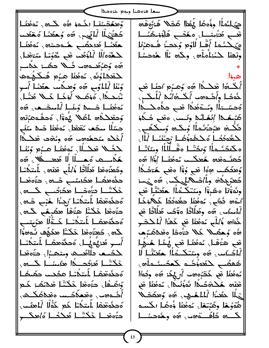سما فزوهما وموم جزوحها وَهِمَّصْنُنْدَا لِئُـوز ۞ُه كَـــرَه . مُوهُنَــا سَمْعَةُ الْمُكْمَىٰ وَهُ وَحِمَّتُنَا الْرَبْعَةُ هكْسُا هُدَهْمَى هُـــوصةِ و مُوَهُــا لِحَمَّدَه/لَّا ٱلْمُؤَمَّد هَي خُوُصًا مَنزِهَداً. هُه وُهزُهُــــــــــه ثَــــلا حقّــــز ــدُــــرِ لِكَعْمَلُوُنُهُ. مُوهُلًا هـرُم قُـنِكَـهُـوه وَّىُلَا ٱلْمَلَوُّبِ ۞ه وَهكُمْتَ حَقَّصًا ٱسْر مَعْقُلُه شَـــدهُ وُلْمِــلهُ أَلْمَنْشَـــفَ. 6ه وَحِثْلِكُمْ مِنْ الْمَمَلَابِ مَا وَقَاءِ مَا مَشْحَمَةِ لَهُ مَا يَسْمَدُونَ حِمَلًا سِكَم مُقْعَلَ. مُمعُنًا شَيْءَ مَنْبِ أَمْلَم سَمَعْدُهِ وَ وَلَهُم وَلَدُهَا لْحَشَّىٰلا شَكْسًا، مُوهُنُا عَـرُمْ وَعُنُـا هَمُعَــــمِهُ مَـــلًا لَا مُعطـــمُلا . مُه وكَعْدَوهْا هَٰذَاتْنَا وُٰاٰمًا وَهُمْ اللَّهَ وَاللَّهُ عَلَيْهِمْ وَالْمُسَلَّمَاتِ حذُهكما هكَاسُب صْـه. حَتُّوهْـا كَكْتُــا حَتَّوهْــا مكَنّْصب كَـــــــ ه. هُحِدُّهُ تَعْمُلُ لَمُتَدَٰلًا رُجِيُّلُ هُبْبٍ حْـِرَةٍ . حَبُّوهَا خَكْتُا هِنُوْا مِكْبِمَ كَلُّهِ. هُحثَةهِمَا لَمُتكُسَا كَــَةُلَا هرَمِيْب لكَهِ . حُضِّوهْا لْمُكْتْا هكَهُفَ شُوهُوا أُسِـرٍ هَٰذِكْمِيَـاً. هَحَثَّەْهَـا لَمُتَكَسَّلَ لحَصَّـــما فَلَلْقُمْـــها وَمَثْقَــرًا. فَتُوَهْدَا حْكْتْسا هُرْحُصِيهَ هَاسْسا كْلِسْهِ . ەَحدَّەتھىل لمُتكُسَّل ھگھىي جگىھُل وَامَّمُعَلّ. حَزّەقْدا خْكْشًا قْلاَعْصَرْ خَلْع أَشْــەەب. ەقىمگكــىب ەقىدگىكــى. وَحِدْوَتَهُمْ لَمُتِدَٰمٌ لَا حَمْ لَحَقُلْا أَلْمَحْسَب دَّوْهْكُ كَكْتْسَا هُكْصًا وَاهْكْسِ

حَكَمِلْدُاْ وِذُهِكْمَا لَمُعْاا كَحْلاً فَـٰزْوَفْتِهِ قب مَٰتُنشا. ممَّصْبِ فَاؤُوْمِقَنَّسَا وَيَكْتُمِطْ أَقْسَا لُلوُم وَحِدْءُ فَـٰومَزُلَمْ وثعثا حنزاه أهرب وحكم لمأل حددسا أَكْــهُا مْكــكُا هُه وُهــرُم أَجِبُـا مْبِ حْدَدُا وِأَحْدەب أَحْدەُٱنَّى ٱلْمَحْدِ. هُحسَناً وَسُتَعُدُا هُبِ حِذْهِكُمَا اللَّهُ كَبُرَهُـٰهَا إِنُهُـٰلَٰهِ وَيُـِيب. هقب كُـٰهُوَ ئَكْــة مْبْحَنُكَمْاْ مُِــكَـه وَسَكْـكَبِ. لحَمْدَدُكُم كَحَمْدَوُهُكُمْ رَجِئْنُكُمْ أَبْلَا . مكْتُحْشُمْلُا وُبِحُتْما هِ قُالُماُ! وِمَاتْمِا كَهْشُمْعُدُهُ هُعْكُسْتُ مُمْعُشًا إِذًا هُمْ وُهدَهَــــ ووهُ| هَـــ وُوْٓا ههَـــ هَـٰهَــدُا وِثَوْتُلْ وَهْرِوْٓا وِحْتَكْـٰهُ\$ هَعَنْتْيَا مْبِ أَمْدُه ثُمَّابٍ. غَمْعُمُلْ حَعْدَدُدُا خَلَاهِ دُلَّا ُٱۦلمگِ . ۞ه وهَٰذَاتْنَا هَ وَّکُ هَٰذَاتْنَا هُو خُوْآه وُالْمَعِ مُوهُلًا هُم هَعْدًا ٱلْمَحْصَرِ هُه وُهمَدا لَما دَّةُهدَا هِمْدَهَبَها هُم هَٰزُقَا. مُمْعُلًا هُم لِمُنَا هُمْهَا لْمَكْسَبِ هُو مِمْتَكْسُوْاً هَقَعْتْنَا لَل ھُھمُبِ كَعُمُوُكُـم كُعصَّىئَـملَّهِ. مُعطُّلُ هُم خُصَّوِهِ أَرِيْكُمْ هُو وِحُوَّا مْلَاه هَكْدْهُكُما نُدُوُنُما!. مُدمُنا مْع أَيْلًا حَقَدْاً أَمْلَمُسْهِي. هَ وَمِحْصَدْ الْمَرْ هَّدَوُهَا وكَبُتِهَا. عَمِّثْنَا وُّمِكْنَا بِكْسِم كَــــــــه كَافَــــــقەم . مُه وهُفصمُــــا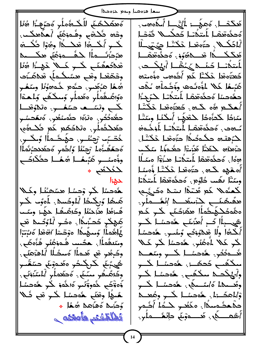سما فزوهما وموم جزوحها هَعفَكَمُّفَ الْكُمُّهَامِ مَحَكِمُ امُّل مُحْكَسًا. هُمِهُـــز لِمُلْتَيْــا أَحْدُه مِــ. وِدْهِ ثَكْلُمْمٍ وِقْتُوهُمُ أَحْذُهَكَ. هُحِذْهَتِهَا لِمُتِمَتِهَا حُمِكْنِيلًا قَوْصًا أَلْمَكْمَلا . حَتَّەقْمَا حْكْتْبَا حَيْتِيْمَالْمَ كْبِ أَكْسِهُا مْكَسْلَا وِهُوْا شَكْسَه هَزَدَٰ;نَـــداُ! حَــقَـــدوَهُهَ هكــــــده مَكْكُــدُا شَـــدْهُوَ: هُحَدُّمْتَهْـــا هَٰذُهُمَنَّے لَک لا حُمْدُ ا مُُلا أسكن التَّشْرُ 1 أَمْلَامًا . صَـــتُمْتَمَّا كَعتَوْهَا خْكُتْلَ كُمْ أُحَّەمْتْ وَوُّوْسُهِ وتتفقدا وثب مشكمل ثعافكن هُهُا هُبُعُسٍ. حَيُّوم خُدْهُوُلَا مِنْهُسِ كَبُنْهَا بَكُلًّا لَمُؤْهِنُوهِ وَوُشُوءَاهِ يُتَرَف حفَّصمُا هُحثُه مَحْمًا لِمُتمُنَا حَجَجُا ەوَآگىنقُملُر ەھّدلُر وَمىڭگى وَلمْحَا لگــــــــو وَتَسَّــــــــــــو مسلِّـــــو عام الله عليه وقتل السلام عليه عليه عليه الله عليه السل أمكم هُ يكسى خَعتُوهْما خْكْتْبا مَنطَ كَدَّەطُ كَعَيْءَ أَكْتُلَ وِمَثْل حَقَّدَكُنْ وَلَزَّهَا حَلَّامُتُكُنْزِ. كَانْكُمْحَسُنْز مُــ90. هُحِدُّەتْهُــل لِمُتكُسُل لُوَجُــوق حَفَلَـثُماُنِ. ٥نَمْكَمُع كَمِ ثَلْـ وُهُمِ حُدّجَى ۚ رَجُنُنُـــرِ. حكّمحُـــملَٰا وُمحْـــــرِ. لكرفته حكمصُمُا حَتَوهُا حْكْتْلْ. َهَحَمَّفَۃًا وَحَنُلًا وَاٰحُم هَحَمَّدَجُنَّهَا ا دْوْهِ، كَعَنْدُ هُزُمْ: دَهُدَوْط مَكَب رَوْهَا. وَحِدْوَقِهَا لِمُتَكْتَبِ هِـزُوْا وَسَلَلًا ووْهسُـــر كَبُـمُـــا هُـمُـــا حثَــْاكَـــح أُههُمُ كَــُهِ. حَتَوْهُمْ خَكْشًا وُّوسُا لمنُلْكُع \* وِمَنْاْ لِكِت دُاوُم. هُجِدْوَهْهَا لَمِتَكُمْا حجزا بصرْبِكْه مُسَالَمَنَـٰهُ مَدْ المُشَمَّدُ هُوصمُا لِحُرِ وَحِسُا مِنْتَمِيْنَا وِكَــلا كَعطَا وَرِيْكَنْكَا ٱلْمُوكَسَةِ. لَمَوَّفَ لَكُـب ھقىقىئے جىنىكىك الْھُــوار. فَعزهُا هَزَهْمُلْ وِكَرْهُمُهَا هِهُـز ومِّمْـب ەھْەكىلگىشەك ھكزگىئى گىر كىم ِسْيَ جِلَالٍ كَبِ أَهْنَنَكَ حَفْحِسُنَا كُلْب كَمِكْرٍ كَحَنَّىٰهَا. وَكُـرٍ ٱلْمُؤَكِّـمَةَ هَي أَكْثُوا وِلَا شِدْهُوْتُبِ وُسُبِ. هُوصُبْهِ لْمَاهُماْلِ وَمَعَهُمَا ۚ دَوْتَـٰتَا ٱرْدَهْا ۚ دَبَّتْہِ! وِسَّلَقُوااً. حَصَّىب ڤُوهِنُو فُزُوكَى. كُبْرِ كَلاَ لِمَاهُبُو. هُوصِمًا كُبْرٍ كَـلا وكَرِثُدِ فِي تَعْــماْلِ مُسْكُـلًا آْلِمْزَىمَـٰـنِ. هُـــوَكُو. هُوَجِسُــا كُـــو وِمَعَــدْ هُيَّبَـُ كَـٰرِكَـٰدُ وَهُـٰدَةٍ مَّا حَمَّقَـٰب سككَعب حُحكَت: حُدَمَــا لَحْــو وِكَاكُمفُو مِنْنَعٌ. هُحَقُدَاُو ٱلْمُنْزَوْبُ. وأركحكم مككب فأعصا للب وقْتَــمْلَمَّــ أَمْسُــمِيلًا بِ. حَقْقَصْبَــا لَحْسَــبِ ؤُوۋْكُم لِدُّووُّلُس كَالدُّووْ لِكُنْ لِمُتَاصِبُنَا ۖ هُبِهَا وِثْنَكِ هُءَهِمًا لَكُنَّ ثَبَ فَـُلاَ وُالْمَحَــزِلَمْ. هُوَجِسُــل كُـــرٍ وِهُعِـــدً وُحَزْمِهِ هُڪْرَهِهِ رَهُهُمْ \* حكْلْعْشُومْبْكَالْ. وْكَعْبْ بْحْسْمَا أَضْبَعْ idlikata, etagtap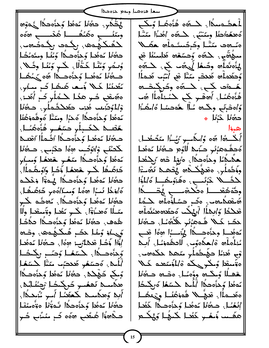سما فزوهنا وتوم جزوحها لْمَشَـٰمِىكَا. كَــْتُهِ ۚ فُـْٓوَهُـا وُـكَّــحِ لْمُخَمَّرٍ. حَمُّلًا مُمَمَّلٍ وَحَنَّهِحَمَّالٍ يُحَوَّم هُهْهُهُ صِمَّةٌ وَحَتَّبٌ . كَلَّهُ مَ أَهْدُرُ مَنْتُظْ لْمُعَكّْمُوهِ. بِكُوم بِكُومُسِهِ. مَّـهِت مَنْتُـا وَكَرِكْسِتُـهِلُهِ ـهِكَــلا حدُّلًا عُمْعًا وَحزُّەحـكَّا وَعُمَّا ومثَمَّحُـا سَيُرَةُمِ. كَمُهُمْ وَحَسَّقَهُ هَاسَنُا هُمْ يَّةُوشُمُّاتُ وصُّعُلُّا لَهُمَّتَ لَكِي. كَلَّمَتُوهِ وُىــەُر وَعْنْـا خَــةْلَا. ـكــرِ وَعْـُـا وِثَــلا. أَوُحَقُدَاهُ هُدَخَرِ مَنْنَا هُوَ أَنْبُتَ هُدَاًا حسَبُهُ لَمْ الْمَحَدُّومِهِ الْمُحَمَّلُ الْمَحْمَدِ الْمَحْمَدِ مُعْمَلُنَا كَلا وُسِعَا هُبْهَا كَمْ مِبْلُونَ تَمَــــةَ كَـــــى بَــــــةَه وَحَرَيْكِـبِـدْـــة قُزُّەكْمُىل. أُهڤـو كَــع كْـمْـزَالْمَالُ هُــ ەھَىقى ئىر ھگا، كىمْلُر كَمْ اُھُدَ. وْٱلمُوَدِّمِينَ هُٰذِي حَقُلَاهُمْلُونَ حَيْفَالُمْ وَادْتَرِبَ وِكْلَةَ سُلَّا هُدَّسْلَ دُامْدُاْ َّحَمُّداً وَحَزَّدَهُا مَحْرَاً وَعَثَّاً هُوَهُوَدُمُلَ |حۇنُا خْزُنْا ﴾ َمَّصْــدْ لْـكُــبِلُر حَسِّعُــرِ فُأُهمُـُـل. ھرۋا أَكْشَاهُ أَهُمْ وَٱلْمَدِّرِ رَبُّ أَ مَثَمَعُهِ ۖ. حشُرُل مُومُعا وُحزُّوحكَا ٱضْحاَلَا ٱهْعطَ لْكَصْبُ وْالْوُكّْــد هِـهْ حَكْرُبٍ. حــهُ لَمْ كَحَفَّـٰهِ مِزْنُـٰدٍ حَـٰٓہٰذَا لَٰهُوَ حَـٰهُ مَٰا مُّـٰهُ مَا مُوهُا وَحزُّوصِهَا مُمُصِ هَعْمًا وَمِبْارِ هَذَبَذَا وَحَزُّهِجَدًا. هُرُوْءُ دَهِ رَحْكُدا وَوَحُملَىٰ. ٥شمْكُـدْ0 يُحْمِـدْ لَهُـتْزَا كَاكُنْتُمَا لَكُنْ هُمْهَا ذُكْراً وَٱوْتِقْتَمَالَ. حهُمًا عَمِّدًا وَحزُّهِدِهُ! لَمِحوَّا فِخْطَم لِّكُـِـلا خَزَنَـبِ. هَفَزَوْمِـهُـِــا هَاٰلِوُّا وحُفْقُهْمِـــا مِثْدَةْمِــــِي هَتَـــــــهَ! ەُ/فِكْلُ نُــرُّا ۞ەُ٤ وۡمــاُ/ەُ٥م كَاكُــەگـا. حَوُّلًا مُوهُما وُحَزُّوصِهَا. مُحَصَّد حُبِر هُمْعُمْدُمِهِ وَحَمِ حَسَّاؤُهَاهِ حَسَّلَةً مَعْلًا وَهِدُوْلَ. كُبِرٍ مُعْمَلٍ وِوَّسِعْمَلٍ وَلَا تَعْكَمُا وَٱبْطَأَا ٱرَبِّكَ وَحَمَدُه مِنْتَمَارُه لحَصَٰۃ کَلا قُـٰہِمُہُٰر لَمُلُوُمُـٰاً. حـوُلَا هُوف. حمُّلًا مُوهُل وُحزُّوصِهُا حِمْصُل َىٰلُوْ وُسُلَ حَكَـٰرٍ قَـٰمَكَـٰهُـِمِنَ . وِصْـُنَ مُمهُما ومِنْوصِمَا لِزُنِسَرُا هِوَا شِي إِذًا وَّحُـا مْحَلَّائِـ: ﴿ وَٰٓا ۖ حَـٰهُۚ لَا يَـٰهُ مَا يَعْمَلُ مُنْكُومُ وَالْمَحَادَوُبِ. لَاحْتَفَوْمُكُلْ: أَبِكَ وَحزَّهِ حِــدًا . حَــمَـمُــا وَحَـَــرِ رَجَّـحُــا وْمِ هُٰزْمًا حَهُنْدَمَاُرِ مَعْهِدٌ حَكْدُهِ۔. أَلْمَاءِ. هُدسَمُو هُددَبُ سَنْاً لَاسْمَا ەۋْسقا ۋىكىرىگە ۋايلۇمىھە كىلا هْڪِلَا وُڪُ‰ وِوُهُـٰلَ. هڪُ۞ ڪَهُنُا وَّبِّكُمْ كَهْلَاهُ. دَهُمُا مُوهُدا وَجَنُّوصِهُا مُوهُا وُحزُّوحِكَا ٱلْمَكَّ كَسَمُّا وَرَكَّحَا ھكىمىدا ئىگىپ كرېڭىگىل ژېئىلگىلى أَبِهِ وَهِكَمِيهِ لَمُحَمَّدُ أَسِرٍ غُمْحَكُلٍّ. حدُّلًا عُمثُل وُحزُّەحكَّا نُـمَوُّلًا مَوْمُمُنْطَ إِنْعُمُا. حِبْهُ لَا يَوْهُدَا وَجِزُّوحِيْهَا لَحَمُدا ڪلاهوُا هُنگَنے هوُه کُے مُنُنُّے ڪُن ھَھَــب زُنھُـب كَعُنا كَنهُـا رُكِكُــع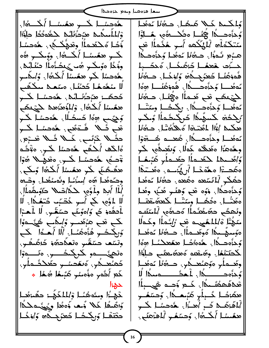سما فزوهما وموم جزوحها مُلكَّمِهِ كَلا مُعصُلِ حِيمُنَا مُمصُل حَقَّ صَفْسًا لِحُسْنِ مَحْمَنِيْسَا أَيْحُسْنُوا. |وُحزُّهِدَ اللَّهُ عَلَى اللَّهُ عَلَى اللَّهُ الرَّاوُ وْالْمَلْسِدْمِ مِرْحُبُنُكُمْ كَشُوحُمُا حِلْوُاْ مَتَكَدُاْهِ ٱلْمَكَّهَ ٱب هُذُهَاْ شَ ُوَحُـٰلُ مَكْعُـٰهِ/ُلُّ وَشَدْكُمْ بِ حَقْحَمْـٰلِ لْحُـــو هِـمُــْسُـــا أَكْــــرُها. ووُمِكْـــو (فَه هـرُم نُـهزُا. حـوُلا مُهمُعا وُحزُّهجا وِذُكُمْ دَوْمَكْسٍ هُمَا كَلِمَةُ الْمَالَكِينَ. حدَّد هَعهُــا دَهُـمُــا. هُـحَـَـــوا ِهُدَمَنَا لَكُو هَمُسُا أَكْدُّاً. وُالْكُس فَودُهُمُا خَعزَجِــدُهَ وَاوْحُــا. حــهُمُا لَا مُعْمَعُا كَتْتُا. مِمَّعَة مِكْفَب مُوهُـــا وُحزُّوجــــكُمْل. فُووْهُـُـــا هِوُا لأَشْمِعَ هُمِ هُدَاً وَكُلُّا. حَدُّمُا كَحكَـــز مدَرْسَـٰلَىٰدْ. حَـُدَسُــا لحْـــر همَسْلا أَحْدُهُ أَ. وْالْمُوْهْبُودِ حَيْسِهِ مُعمُّــا وُحزُّەحِـــكَا. وكُنْتُــا ومَنْتُــا وَجَهُب هِوَٰا حُسْحُلًا. هُوَجِسًا جُب كَيْخَةُ كَسَهِّمَا خَرِجْتَحْمَاً وُحْب هْمِ ثَــلا ۖ فُــٰٓمُعُمِ . هُڡصُـٰا لحُــٰرِ هكْما إِنُّا لِمُتَّةَا هَكُمْتُوْلَ. دِيُّلَا حشُــلا ۚ يَـْزُنُـــى ۚ. مَـــلا شَــلا شَـــْرَم ۚ. مُوهُـــا وِحزُّودـــدُا. ومُعـــو هُـــوٓوا ەُلگە اُلگە ھُەدىئا لگىر. ەۋْشُە وهُومُرَا وَهُلُكُمْ يُولَا. وُبِقُدِمَهِ لَكُنَّ وَامُحْمَدْ الْمُحْمَلَ الْمَحْمَلَامِ كَبُنْهَا وْْحِــُى هُوَجِيْبًا كُبِي. وَهْرَضْـلا هُوْا ھقىقىد كى ھقىئا أىكاھ ۋىكى. هَ مَصَدًّا مِعْفَمْها أَرِيَّنِهِ وَمُحَمَّدَا وحَدَهُما هُ٥ إِسْتُمَا وِثَمَنُعُا. وصْه حَفُكُرِ ٱلْمُنْمَدَ وَهُمَدَ. حَمَّلًا مُوَمَّلًا إُلَمَا أَبِهِ وِلْمُؤْهِدٍ حَذَاهَكُ حَاوُحِقُواًإِ. أَوۡدَأَهۡدَا ۚ وَوۡهٖ ۚ شَعۡ وَقِلُوا مُنۡهَا ۖ وَمُنَا لَا لمَوْمٍ کُلِ اُسِ خُتَـَبَـٰ كَتَفْخُلَ. لَا وهُتُسا. ودُهُسا وِمَتْسا كَعِدَهُ تَعْسَا أَدَهُّه; ۖ يُ وُاهُوَّسَّے حسَّقَٰنٍ. لَا أَلَمَـٰۭٓٓٓٓا ونُهجُم حوَّمُعُثُماً أَوْحِدُّو الْمُمَنَّدِ ِّكَــِ ثَنبِ عَبْقَنــَــِ وُإِيكُنــَ شَيْــَـوُا<br>وَرَبَّــُدَـــرِ قُذْهَقُنَــا ِ الْمَا أَيْعَــدُا ۚ كَــح الْمِكْمِ الْمَصْلِ؟ حِبَّ صَرِيمُهْ لِمَاءَ اِتَّهُمْد وَوَسِيْسِمَا وَوَقَدِهِ أَلْ. دِيْوَنَا مُوَقَّدِ ا وِلْسَّم حسَّقُسِ ەلْعِلَاحِثَةِ كَاتَّمَتَّى كَوْدَوْدْهِ مِنْدَهُ مُدْمَدُ مِنْ مَعْمَدِيْمَا مِنْهَا ەتھۇسسەو كىرگىئىسىر. ەئىسمۇا لَكْحَنْتْنُعُلْ. وَهُمْعْنَدْ هُجْدَهُمْعَنَبْ حَاذَٰاْ كَعنُصِــكُمْرِ. كَانْقَصِنْـــو حَفَلَــدَشُــدَلُو. وقَصْمَلُو هَوْهِنُعْسَمُو. صَــْقَالَ نَمْقُنِـل كَوْدَأُوجِيْ مِنْ الْمُحَسِّسِيهِ مِنْ الْمُلْكُمُ الْمُلْكُمُ الْمُلْكُمُ الْمُلْكُمُ الْمُلْكُمُ ا لَّكُمْ أَثْمَرِ هَؤُمْنُرِ كُبُّبُهُا هُهُا ﴾ هُدْهُهِمُنَــداً. حَــم وَّدــه هَيـــزاً! حمزا لْحَمْـُزَا ومثَّدَهُـُـا وْالْمَلْكَهُــز حَقْـزمُّــا ھكَاخُــا كُـــْبِلُرٖ كَبُنِــمَــدًا). وَحَسَّمُــر وَاتَعْبَقَا يَكُلا وَجْمِعَا وَامَعًا وِيُوَجَّحِكَمَا أَلْمَاهُ هُمْ رَاهِ أَهْلُوا مِنْ هُوصِمُا لَكَسِ همُسُلِ أَكْـرُهَا. وَحسَمُـرِ ٱلمْوْزَهَبِّ. حثتفًـا وُرِجَّـمُـا حُمْدِجِــدُه وُاوْحُــا

16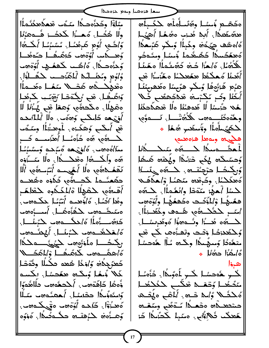سما فزوهما وموم جزوحها مَبْلَوْٓا وحُدْزُهِدِياْ مَيْهُب شَعِيَاهِدُنُواْا ەڭھىم زىسلى وەئىلەلمە كگىلە وِلَا هُدًا. هُمْ أَلا كُدْءَ فَــومُرُّل هدَهُ مَعْتَدًا. أَبِهِ هُــزت هَهُــهَـا أَهْلِــا كَاهِ هِيَدُهُ وَخَبِيلًا وُحِكْرٍ كَبُرْ هِدًا وَاحُـمِ أَوْمِ هَرِهُـُـل. يُـمُـرُـُـل أَكْـــهُا وَهــــكَس أَوْةَهب كَاهُـنفُــا حَنْدَهُــا ەَھككىىدا كَشَىشُەل زُّىسُل وىشەكر كِيدْهِ دِيالٍ. كَانْفُسْ لَكْمَشْرَضٍ أَكْوَّةِ وَمِنْ لَحُدُّهُمُّا. هَ/هُزَا حُـذِهِ كَشَمْتُهِ أَلْمَ هَمُمُّا وُاوُمِ وَمَحْسَلَهُمْ ٱلْمَكَرَّحَـــبِ حَلَّقَــٰاؤُلِ. أَهْمِمُا هُـمِكْعُدِ مِمَعِنِكُمْ مِمَّتِكُمْ شَي وهُمْكَــــــهُ هُــْــــلا مَـمُـــا وهُــــولَمُ هزُم فَزْوَقًا وُلِكُو فَرَيْسًا وَهُعِيمًا لِمَ أَمَطُلُ وَكَـرٍ مُكْـٰبِٓــةَ شَدْكَهِقُنب فَـُـلا وَاهُبِقَا. هَي رُكْتَهْا رَقِّبُب كَرْهُا هِهْدِلَا. مكْحَدَّى وُهِمَّا شِي فَيُّرُّا لَا هُلا حَزَىـنُا لَا مُدهنُنُا ولَا شَعكَحَنُنُا وِهَدُه دُنُــِـدِه بِ الْأَهُنْـَــا كَــدُوْهِ أَوْيَ هُ حَالَكُب وَ20هُ . هَ الْ الْمَاأَمْدَ هْمِ ٱمكْبِ وُهِكْزَهِ. لْمُوهِنُّةُ وَمِنْهُمْ وَمِنْهُمْ لمَكْتَبِ الْعَالَمُ وَقُسِعُتُ وَهُ هُمْ \* لمستأهب هُه خُزُه ُسا أُهْنَعت كَسر وحلي ومحمد هن معرك مَارُدُمُوهُ مِمْ مُعَهُمُ مُؤْتِيَّةً مُنْ الْمُؤْتَّبَةِ مِنْ الْمُؤْتَّبَةِ مِنْ الْمُؤْتَّبَةِ م هُه وَأَكْسَوُا وَهُكَسُمَا. وَلَا مَسَنُوْهِ وُحسَّىكُلُّهُ لِمُّهَا خَبْنُدًا وِيُحْلُمُ هَمْتُمَا للَّا مِنْ سَبِّعْ مِسْرِهْمْ لَمَاه مِنْ مُكْمَدْ مِنْ أَمْرِيْكُمْمَا حَرْجِئْتُهِ . هَــَـثَمَّى مَمَّــُّلَّامَ حكَمئَــما لِكَحِــوةُ مِنْكُمْوَه وهُعَـــم ەمككئا. وكرهم مَعنا وَاحدَفَ أقعشَى حقهلًا وْالمْكَلُوه حْقَلِكَ له الم أبد من الله عنه الله عليه السلمي السلمي السلم السلم عليه السلم عليه الله عليه الله عليه الله عليه الله وهُا ٱكْتُا. هُٱزْهَنه ٱتْبَتْلْ حَكْمَهَمْ. همُبِيا وْٱلْمُؤْكَّبِ هَكُعْفِهَا وِٱوْةِهَب ەمئىشىمەت تەقۋەھىل. أمىسۇەھت امئے حفَحْصةُہ، هُـهِڡ وحُقُصۃ اُلَّ لمستَهُو هُسْرًا وِيُسوهُوْا وُوهَدِيسًا. كَاهْلْتُسْمَاهَ لْمُبْتَلَا. أَلْمَحْشُمُهِ كَمْحَدَدُا وْتَـد وْتَعَزُّهِمَا كَلِّ شَيْ وبكسك مأذرَّدها للكينَ مسمدَّ متَعْدَدًا وَمَنْهُمَا وَكَنْ مُثَلًّا حُدْدَتَهَا. ەُ/ھھُـــەمە كَامُمەُـــا وْ/لمُكَـــــــــا ەُاھەُ اخلاھ ئ كَعْكَمِكُلَّاهَ وَاوْخُلْ هُعْدَ حَكْـنَالُ وَثَّدْشَـلَ ھەۋا كْمْلَا وُمْطَا وُمْكَادَ مْكْحِسْلْ. الْكْسَم لْحُــرِ ـهُـمَصْــا لْحُــرِ ـاُهْوُــدًا. خُزُّه ُــا ؤُهِمًا خَافَةهب. أَلاحِقُهم طَاهُمَوَا مَدَّمُعًا وَحَمْــدْ مْنَكْــبِ حْـدُحْمَــا وُامِثَةُوْمِدًا حِضْرِمُمَا. أُبِعِيشَةِهِمِ مِمْثَلًا ەَحْشَىلا وَٱمْدْ شَـدَّ. ٱلْمَشَى هَٰلَكَــدَّ كَمْتُوْتَوْلِ. كَلَمْتْ أُوُّةْمَتْ مِتَّى كَتْتَمْمَتْ. حشصكه هضمكا كتقص ومكف هَعدَكَ شَلاَوُّابٍ. ممَّراً كَجَنَبْهَا جَز وُهِــزُه@ لِكَرْهْلَــرُه حَكَــهكُماً. هُوَوُه

17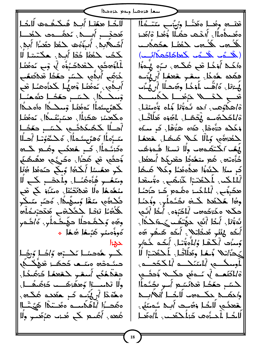سما فزوهما وموم جزوحها لَلَّحُـلَ مَعَنَـلٌ أَبِــدٌ قَـنْكُنفُــدَهَا لَلْخُـل هْلُــرٌ وِهُـــاٍ هَهُنُــا وَرُبُّبَ مَنْـــهُـلَا مُحدِّبِ أَبِ1. كَحَقَّـــوف حَــمُّـــا ەھْمەلەلگىلى ئەشھەر جىمىللار دۇرۇمدا تەرەپ لَمْلُوما لَمْلُوما لِمَحْمَدُ الْمَحْمَدُوب أَحْبِلاً لِلْمَوْوَوِي لِلْكُلِّ فَعَيْرًا أَبِلاً. لْحُكُبِ لِحَمْمُلِ دُمْلِ أُبِيمٍ. حَكْتَبْسَلِ لَل (الْكَسَّفَ الْكَسَّفَ الْكَعَلَاطُاطُعَمَّا ٱلَّـِـمَا) لْمُأْوَّهِ وَحَمْدَ مِنْ أَوْ مِنْ مَوْهَمْ لَمْ يَعْمَدُ الْمَسْرَحَمَدُ مِنْ مَسْرَحَمَدُ الْمَسْ هُالَكُمْ أَوْجُلُ هُمْ هُكُلُهُ. لَئِهِ لِهَـٰهُۥ أَ ِكُرْهُمِ ٱللَّهِ لَحْسُرٍ حَمَّحًا شَمْكُلُّمَ عَمْد هُمِدًا. بِمَعْرِ هُعَمَّا أَرَبُّنَا لَهَ بَرْنَا. كَافَ لَمُوْهُا وِهَ حِلَا إِلَى يَتَوَ أَبِـدَّىٰ. مُـمَعُنُـا وُمِيَا كَـٰدَّەمْـا شَـحِ ھے لمثالہ مَرْسُلہ لمکسلہ وْسِكْتِكَانَ بْكْتَبْ حَمْصًا فِتُمْسَا ةَ/هِكَوُهبَ. ٱلله شَوَوُّلاً وَّلِمَ وَوُمِئْسًا. لَكْتَبِيتُهِ أَا مُوَمُّلًا وَسَكَّدًا وَأَوْهَدُاً ەڭجىئز ھڪزلما. ھىئېئىمدا. ئەھُلا ەُ،لمَككەُمە يَتْمْسَا. لمەُوْە ھَلَلْتَّىل. أحــلًا كَـمُـكَـدُكَــم حـكـــــــ حـككـــا وَجَلَامَ دَبُّوجًا. دَوَّاه هَـتُوْفَا. کَي مِنَاه مَــَّبُه اُلِمُعَيَّــه الْمَــدُّمُوْسَــا  $\int d\omega$ لِحَقَّدَوْهُمِ وَالْمَالِ كَمِلاً هُمَعُمَلَ هُعَمَّا يُمَّد ٱلْكَتَكَــدەت وِلَا تَسَــْٱلْ شُـدَوْتُف ەكزئىمال. كىر ھُھكى وكىم كىھ دُّ;ْهِ مَعْدَمُ مَعْمَدُ الْمَعْمَدِيَّةَ أَسْتَغَيَّا. وَّحثُم، هُم مَحْرًا. وَكَرِيَّهم، هِ فَسَمَّيَّ لْحُرِ هِمُسْا أَلْحُدُّا وُلَّى حَمَّمُوا شَالَا كَمِ مِمْلًا لِكَنُّوَٰٓوَٰا هِكُمْهُمْا وِكُلاً كَمِنْقَالِ وِسَمُّــوٖ فُأُوهُنُــاً. وِلْمَحْــوٖ كَبِ لَا لْمَلَكْبِ. لَمَكْعُتْبْ كَبْصُبٍ. وَقُصْعْدَ هكَبِنُبِ. ٱلْمَلَمُدَ مَقْدَمٍ كَـَرْ حَزَمْنَا مْعُدْهُا دَلَا شَدْنُتْنَا. دَمَنُوْ ݣَى شَی طَّـْـهُ) مَّـقًا وَمِــهُـدًا. هُحَـّ مَّـدَّـلٍ وهُا هَكْفُهُ كُنْ تَكْتُمْلُرٍ. وَذُكْبًا حَكْلا مكْتِكُمُوم ٱلْمُكَبِّوْهِ ﴾ أَمْكُل أَلْتَمِ لْمُدُّمُّا لَّاصًا بِحِثْحُمْبٍ مِّنْحَبِّكُمْ وَالْمَسَّامَةِ مِّنْ مِّنْقَصَّارَ ثَوْتُهَا. أَمْكَا أَنَّهِ حَهَّنَفُ كَمَاكَمَاً . وِهُه وُحْقُـُدهَا حَهُـثُـدَاُرٍ. هُ/شُـدرِ أَمَدُه لِمُبُرِ مُسْفَاسًا ۚ. أَمَدُه كَعَمُو هَٰهَ ەُوۋُەممُر كَبُرْهُا شُهُا ﴾ |وَمِمْوَدٍ أَيْتَـٰهَا وُٱلمُوَوَّتَـا. أَيضُم جُـٰءَٰابِ حهزا لَىٰحَزَانَىٰا ۖ وَمَعَا وَهَلَاتُما ۖ. لَمَحْمَدْتِهِ لَلْا لْحُــرِ ـ هُـُحــُــا ۖ مَــْـــْرَه ۚ وَاصُــا ۖ وَرَضُــا أمروسك مه ألمستكسم المكككسو. حشەدْه ەملىك كَحكْم: شَوْكُــكُمْ هُ الْمُكَلَّمِــهَ ﴾ كَـــه في حكّــِــلا وُحشّــها جِفْتُاهُكُمْ أُسْقَىْ لِلْـقْعَمَّا كَرْمُنْكَا. لحَمَّــ حَمَّــًا مَحْلَمِّــم أَسر بكَنَــماًا وِلَا تَكْسَسِيْرًا وَهَدَّدَهُـــب خَامَّمُدًـــا. وُلِحَكَـــدْ حَكْــــدەت لُلْبِشَـــا اُلْكَابـــد ه هُدْ الْمَ إِنْهُ مَعْدَ هُدْ مِنْ . هَعنْــُم لَاحُــا وَهُــِت أَبِــا شَمنَهُ. السَّرْمُ الْمَحْمىدە مَعْتَمْا هَيُسْرا هُمُد. أُهُىم كُلّ هُـ: هُبُهُىـرٍ وال لَلْمُطِ لَمْـزُهِ جَزَلُهِ حَمْلِهِ الْمُعَمَّدِينَ الْمُهَمَّطِ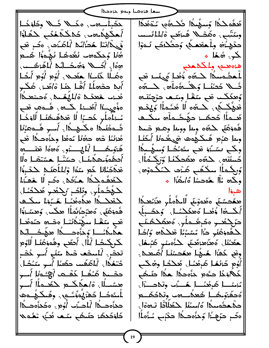سما فزوهنا وتوم جزوحها حَكَمِلَـــــ ∞م. ۞ مَكَــــلا كَـــلا وكَافِكُــا هَفُمَكُمَا مُِسَهَّىٰهَا شَكْتُوَى خَتَمْكَا أَهْكُوكُمُ مِنْ . كَمْكُلّْمُهُكُبِ لَحْقَاؤُا وِمَنَّبِ . هِ هُشَما هُمْهُمْ ﴾ [الملكسب فَي أَمَانَتْنَا هَدُّاتُكَ أَمْلَكَتْرَدَ. وَكَبِرٍ هُدِ حكَمِيُّونَ وِلْمَعْتَمِيكَ وَحَثَكَلَاكَمْ تَحْوَلَ ھُلَّا وَحِكْمُوتَ تُعْدَهُا تُوْجُوُا تُقْتَلُونَ ىگىر. شەھل<sup>ى</sup> هِهُمْ. أَكُـــلا وَهُـكَــأَمْط أَلمَكَـرْهُـــب. ونامحمه ولمكلمه ٥كُــلًا خَتَمــرًا حَمَدِ ﴾ إُوْمِ أُوْمِ أُسُــلًا لْمَشْمَدَ الْمُمْ أَمْسَدُ الْمُسْمَدُ لَهُ الْمَسْتَعَمَّلَ أَبِهِ حَدْمَلًا أَقْلَ هِنُا وَٱهُد:. هُكْبِر ئَـــلا حَصُبُــا وَلِلْــــرْهُءلْرُه . لِـــــرَه ه هُنْ هُلْدَهُ ١٤ هُلْهُمُمُ . هُدَهْدُاً وُهِكُكُب هُم مُقْلِ ومُصْ حَرْجُسُهِ وَوْصِيمًا أَهْدَا كَمْ وَهُ وَهُدِ هُبِ تَعَوَّلُكُمْ . كَــرَهُ٥ لَا مُحْــُماَ وَلِحْـمِر سُنِلُومُر كَحبُرا لَا شَدْفَعْفُسَا لَاذِخُـا مُحداً أَحْجَمَــ; حَهُنصَّــداً مَحَلَّــدَّــدَّــدَّــدَّ ثَــٰهحُلُــٰهُا مكْــٰهـِــٰهُا. أُــــو ڤَــِهجُرُلا فُوهُهُ لِحَمُّه ولم وولم وهـم شِلْم وملا كَمْ أَسْتَمْرِيَّةَ مِنْ كَمَدَّةِ مِنْ الْمَعْدَمَّةِ مِنْ الْمَعَامِيَّةِ مِنْ الْمَعَامِيَّةِ مِنْ هُدْئُمُا دُه حهُمُا مُوهُا وحزُّوصِهُا هُبِ كَزْوُمِكْمِ الْمَالِمِ فَيْوِ بِهِ كَاهِكًا هُنْسِيِهِ وِكُم سَمَّزَةِ هُم مَتَمَنُكُم وَمِنْهُمِكَا أُدهُوزُ وهِ أَسْرٍ . حِمَدْ الْمُسَتَّفَرِ وَلَا كَسْلَاهِ . لَكْمُه مَكْصَلْحُلْمُ وَرَبُّكُمُلًا . وَرِيْحَمْلَا سَكْتُفِ هَٰنَوَ لِمَنْكُووُهِ . هَذَكْنَانَا خَمِ مَدًا وْالْمَاعَنْدْ حَدْبُواْ لحَقْدَهُدُهُ! هُزَدُهُ. وَدَرِ لَا هُدَّزُهُ وحْمَدُ مُلَّا هُءَدْمَا دُامْدُوا ﴾ ﻼﻱُﺣًﻪﻟُﺮ. وِ*ﺗُ*ﻠَﺖ , ﻛِﻜﻘﯩﺮ ﻣَﺪﻛﻨُﺎ. ھروا هَهُدسُنَ وَهُدونَ لَاحِذُوا وَ هُزَعْهِ ا لحقفكا مدهفنا كبزدا سكت فُوهُمُّ . هُمْ َحُرُثُه أَلَّا هِكُب . وُهِيَّ زُوَّا أَكْسَرُهُ| وُهُمَا هُعْكَمْسًا. وُحَصَّبِكُ هَــِ عَـقْـا مَــوَّتَـدُكْـَـا هِــْــوه حَنَّـهَ حَــا دَكِنْعُسِ ەدَبِشُـەلُر. ەَمەَكْشَفَـــ هلَّمدُكُــــــا وَحزَّه؎حــــدُا هوَمدُــــِــابُــدَ لْحَدُّدْوَهُنُو حُزَّا مُسَّبُرُما هَجَلَاهِ وَاجْبَا لْكُمِكْتُحُطْ أَلَمَاً. أَصَكَ وِقُودَهُمُا لَلوُور ِ هَكَنْنُا. ٥مَازَهْنَهُمْ لِأَدْمِنُو كَبُرَهَا. وِهْدٍ خَفْزًا هُنهُا مَعْصِنْنَا أَمُتَعَـدٌ. تَدَمَّرِ. ٱلمَنْصَف شَدْ مَنْعِ أُسِرٍ خُصَّرِ دَّتْهُـهُا . ٱلْمُكَس حَكِّسًا أُسو مُنْحُـل. أَوُمِ كَرْنُعًا كَرِمُنَا. مُدْحُا وِهُكَبِ حصْبِهِ كَنْفَا خَفْـم أَهْفُوبًا أُسـر كَلافِكُل حثَّەم حَزَّەحكَّا هِكَا حَتَّىصُ هِمَسْلًا. هُ/هِجُكْم حَكْمِهاْ أُسِر كَنْمُسْلَمْ هُرِهُنُسْلَمْ هُسْتُوبْ وِلْلاَحْسَنْزَلَ. لمُسْمَدُ لِـ مَعْزَيْهُ مِّـَــهِ. وِقَــدَــهُـــمِ مِ ەَحَفَزَوۡـمُـــا ھُـعدُا۔ــــــەٮ وتَــاكَـمَـــــــــــمِ حدَّەھــدًا ٱلمَــزُب ٱوُمِ. ەكَـدَّەھــدَّا حكْمحُميكُا وَاسْتُنَا كَعَلَاتًا تَــْ90. وَكَمِ حَرَّقِۂًا وَجَزُّوصِهُا حَكَرُبٍ مُـزُّوماًا كَاوْكَدْهُ: حَنُنهُم سَنْتُ مُنَّى سَقَّدَتَهُ

19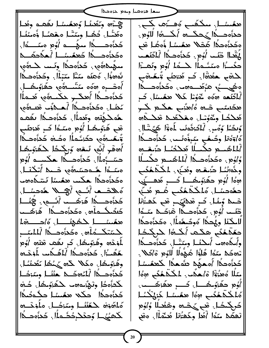سما فزوهما وموم جزوحها يوْ أَنْ مُتَعَمِّلًا وُهِمَّسْلًا بِفَعْدٍ وِهُنَّا ھقسلہ سلاقب ہفتوں گے۔ وهَتْـا. كَهُـا وِمَتْـا وهَعْـا وُومْنُـا ەكدەدھا كەشلا ھۇسىلا ۋەكىل شى وَحَدَّوْدِهِمْ الْمَحْمَسِيْةِ الْمُحَادِكُمِيْ لَمَثْداا تَنَـٰٮ أُوُم ِ. كَدْوُدَـٰٰا ٱلْمُكَمَّـَـٰ حَكَسَةُ! مَمَّنْتَهَا الْكَسَاءُ اُوُمْ وَيُعَسَّرَا مِيكُمِلَاهُومٍ. كَحَزُّهِدَا وَيُـب لَحْــةُومٍ لُهِ وَذَا. وَهَدَ مَثَلَ مَنْذَا. وِكَذُوصِهَا لِحْشَى حَقَقَةًا. كَمْ هُتَوْتُلُ قُبْضُوْهَمْ أُهشبوه ههُه مُنْسُدةُ وهُ حَفْزُومِعُسِلٍ. وَهْيَ فَيْ مَزْهُمْ وَمَدْهُ مِنْ مَحْزُودَ الْمَلْ كُدْوُدَهُا أُهكسِ مكْسوڤُو هُدهاُ! أَمْلَكُمُهُ 500 غُوُمًا كُلًّا هُمُسْتًا. كُ كطُـا. ٥كَحزُّ٥دــدا أهــدوُّب شَبــرةُ٥ ھکرسُب شدہ ہُ/ھُڑے مگــــم لگـــو هُدَكَمُتُهِ وَهُدَأَلِ. كَدْوُدَهُلُ بِكَعْدَ مُكْتُما وشُوُسًا. مِمْكَعُكُمْ مْكَسُرُوهِ اَوۡعَـُـٰمُ وَءُٮبِ ٱلۡاَحۡرَجُونُـٰ ۖ لَمَوۡوَۚا ۖ هَيۡشَالَ ۖ. ھے فَزَمِّىطَا اُوُم مِمْـدًا کَــز ھَٰـزَتَسَــر ِّهُ/وَهُل**َ وِحُـمُـبِ مَبْرِؤُه ُـبِّ**. كَحْزُّهِ⊂ــكُلُّ<br>اُلْمَلَــُـــعِ حَكَـــلُّل مَحْــدُــُــل حَزْــمْـــرِه تَمَسْدَهُم، حَكَّنَسْماً ا مصُنْه كَحَزَّەحــدًا أُهفَر أَبُّه نُـهُه وُرِكْـمَا كَـفَوْمِـهَـا وُاوُم. وكَحزُّوهــدًا ٱلْمُلَّقَىــمِ صَكْــلَا حِسَــرُه اُلْ. كَحَزُّهِ صَـــــاً الْــمَكْسَـــدِهِ الْوُمِ مَمَّدُا هُــومَسْمُو دْــمْ أَتْكْتَـا. وِحْدَابُنُا حَزْمَهِ وَهُـَىٰ. الْكُلّْاهُكُب اوەُا اُوُم حَقَرَوۡـهُـــا کَــــزٖ مَّدَهَـــَــۡنِ ەكدۇەھكال ھكىب ھۇسئا ئىتىگەھت هُ الدُّـــم أَنَّــهِ أَرْضِــا هُوصِيُــا. حقَّحسُا. مُلَكَلَّمُعُنَّى مُـع هُـبُ كَدْوْحِــــدا فَـزِهَــــب أَنْـــم، ݣَخْـــا صْحِمْ وَسُلَّىٰ کُم هُدْتَهُم هُو خُصَّرْتَا كَنْصُكُــدْ، وَمَ ذُوْدَــدًا ۖ فَرْهَــب تِّصًّــــ أُوُمِ. كَحْزُهِدِــدًا هُزَكْــدْ مَنْــدًا مغسسا حمي المنابية الْمَحْمُلُ وِيُحِكُلُ دُوِحَْـهُمَلَٰلَ. دَكَنْوَحِكُلُ حَقَّدْهُنَّى هكْتَ أَكْتُوا حَرِجُتُمَا لصنتك هُلُره . هكَذْه دلُما أَلْمَلْمَس وأُلكُوهم أَلكنُما وبَنْشِلٍ. كَدْوُهِكُم لَمَوْدُه وَفَزَوُمِعُلَ. كَمْ يَفْعَبْ هُنْهُمْ أَوُمْ ِّهَقَىـُ;ْلَ. كَحْزُهِ=ـِـكُلْ أَمْلَكُمْتَ لَمُوَجَّـــهِ - المَّكْمُ مَكْمًا قَاؤُا هُمْهُ لَا لَاوُمْ وْأَكْلًا بِهِ كَدْوْدَهُا أُوهِهُمْ تِدْهِمَا لَكْتَهَشَا وَفَزَوْمَعْلَ. هَكُلا كُلْهِ كَيْتُعْلَمْ كَتْعَبّْتُمْلَّ. مَعَلًا هُجْوَّا ةَاهِدُ . لَمَكْذَهُكُمْ هِهَا كْدَنُوجُا وِلْكِنُوهُ حَدَّوُ وَهُدًا. كُنُو أَوُم حَقَرَوْمَعُــــــــــــ ( مَقْرَهُـــــــــ . كَدْوْحَكْلا حَكْلا مْعُسْلا حَكْمَحُمْلَا كَلْكُلْمُكُمْ رَوْءًا هِمُسُلْ كَبْرُكْتُمْا كَاثَةَوْنَهُ لَكُفُنُكُمْ وَمُنْزَحُكُمْ. دَلَوْخْصُدَ كَرِبْكُمْلَ. شَيْ كَحْسَرْ وْهَعُمْلًا وُٱوُمْ لْكْهِيُّهُمْ وُحِثْكُمْ جُشُوماً). كُمْرُّەكْمَا تَعَكَّمُ مَّدُا أَمُّا وِكَعَتْرَا مُحَدَّدًا. وَهُم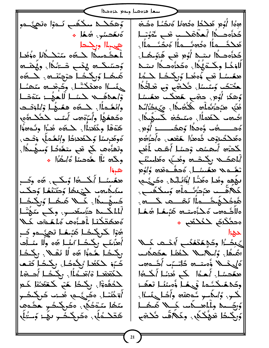سما فزوهنا وتوم جزوحها وَهكَـــد مَــكُفَبِ نُــهوْا هَتَمَهُــهو هِهُا ﴾ُوُم هُڪُڪا هڪُهُلا هُنڪُـا هڪُنه كَحْزُهِ صَـــكَلا أَحْكَاهُكْـــب شَكَّرَ شَـــدٍ شَوْسَــل ەتقتىئىن شقا ھ مُحْشَــداُل ەدُھ ئَـــداُل ەُىشَــْداُل. هيبراا ورحمحا كَحزُّهِدِـدًا بِشِيمَ أَوُمِ هَي فَزَوْجِعًا. لْمَشُومِكُمْ كَلَّوُهِ مَمْكَكُمُلٍ وَذُهُـا لَلْغِمْلِ وِكْتُوْلِكُلْ. وَكُذُّوصِكُلْ بِشَكِّ كَمِنْهُمْ وُرِكِّنْشْدًا حَرْجِنْسُوهِ . كَمَنْوَهُ همُسُل هَي زُوهُما رُرِكُمُما كَسُمَا لِمُسْمُدْ مِكْبِثْمِ. وِكْبِثْمِـ مَعْمَدُ ْ هَنْتُكُبْ وُمُمْسُلًا. ثَكْـادُه ۚ وَبِ ۚ شَـاتُكُلَّا وْاهِهِ مَسْرًا لَلْعَهُــزِ مَتَّوْسًــلِ وَهكَا أَوُم ِ. دەٓپ ۿَعكَــَــَ مَهُـنُـَـا والُعُــٰماًا. ۖ ـــــــوّٰه همُــوَّـــا وْالموْتَــت هُذَا هَذَاتُهُ أَمْ هُدُهُ هَا. وَيُعِجُّرُانُهُ ەكھھكىل وأَمَّةه لَّمَّى لَكَنْكِسُوْمِ ائىھە ككھەلَا. مىمىگە كىلگىكا. ەُھىسسەھُە ۋەھكَا وُھھُمسىن اُوُمْ. هَدَهْا وِحُكَّنِهَا). كَنَّهُه هُـُزَا وِنُـهِ وَأَوْ ەُوهُدِيسُا وُلِكَعْدِدُا والْعُملَ وْشَفْ. ەھَكْسُرْوْهَا شُەھرُّا جُعْجَا، ە/ْجُرُّەْم لْكَحْزَهِ أَلْحَمْنُكَ وْحِسُلَ أَنْقَـٰكَ لِمُعْنِي وِتَعَزُّهِ مَـ كُلِّ هُـ مَـْهُوَدًا وَسَـمُـِـدًا. ألمكند ربكت ووهُنُ وهُلْسُكَمْ وحْده عْلَا هُءَدْمَا هُ/مُحُرَٰا ﴾ تْمُـــە × مْمُـْسُـــا. ەَحْــُــەتْدە وُاوُم حروا همُسُلِ أَكْسُوا وُكِّبٍ. وَهِ وَكَبِ بهَيْهِ وهُـل ههْلُم إِوّْائُلْكُمْ. هكْرِيْبَهِ كَلاَقَــــــ مْزَحَزِّــُـــملَّاهِ وَسَكْـكَـــــع. سأسأسحب للتهيئ وكتنفا وحكب كَسَهُـــدًا. كَـــلا هُـنصًــا وُرِجَّنتُــا هُوحُكِيُبِدُّـــواْلَ نُهْــــم كَـــــرَو . ألملكـــمه حتّىمعّىـــــــــر. وكَـــح مَعْهُتْــا وللأَحْمَدُ مَكْزُومْتُ مَبْكُلُ مُكْتَبِكُمْ الْمُحْتَلَ كَعِنْقَتْكُمْلَ أَقِيَّوهَا كَاهُمْ وَلَدَ كَبْلًا ۖ ەدئْدْمُ خىُلگى \* هُوۡۤا ۖ خُدِجُمۡصَٰا ۖ مُبۡمَٰا نَعِيُوٓ ۖ صَٰٰٓٓ ۖ حجزا كبدُ أوكهِمَتمْكُب أَلَدْهَ كَلا أَهْنَمَكِ بِكُنْشَا السَّا هُءِ وِلَا مُسَاْت رِكِّىطُ هُـُووُّا هُو لَا نُفْـلا . رِكِّىطُـا . امَّىقًا. وُامْلاسْلا حْقُبًا حَقْفَلْس كَانِ مَسْلًا وَّدْسَتْ مُسْتَمَرِ الْمُسْتَدِينَ مِنْ الْمُسْتَدِينَ كَبَرْ حْكَمُعَا رُجُّوكَا. رِجُّجُا كَتْب همُحِسًا. أَهِدًا ۖ لَكَنْ هُزَا أَكْرَهُ! لحَكْتَعْتَفْ أَوْاقْتُ مُلَّارٍ. وكُنْدُ أَصْبَرَهُ لَ وَكَمْشُدْشُدَهُ لَـٰهُمِـٰ أَمَنْكُـٰهُ لَعْفَـٰزِ لِكَحُفُوتْا . <sub>لِ</sub>كِّبْحُا هَبْ لِكَـٰقَعَيْنَا كَـٰعَ لْحُسِ. وُامكُمِ شَعْمَتُهِ وِأَصَلَّى مَسْأَلَ أَقِكْتْمَا. ەڭرئىچە ھُـنى كَرېڭىگىر وَرَجَـــده ولْمُلهَـــدُمــ كَيــدْ\ كَمشَــا مَمْل مَيْهَكُلّْهِ. هَكُوكُنْدُبِ هَشُمْهِا هُقْلُمُهُ). ەَصَرْجُمْصُو لَهُمْ وَسُتَهْلِ وُرِكِّىطُا شَوْكُكُل وَكَلاَّفُ ثَكْرُهُم  $21$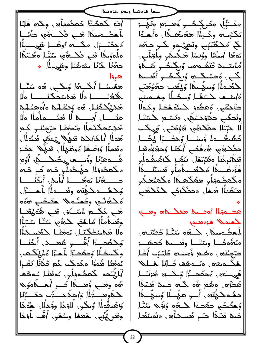سما فزوهنا وتوم جزوحها ەڭسۇڭم ەكرېگىكسىر ۋەسىۋەر وَنَكَسىز أَحْرْ، حُكْمَتْرَا حُكْدُوْلُهِ . وِحْهِ قُلْنَا مُكْتَرِدِينَ وِكْبِرْلَمْ هِدَهُمْهُدِيدًا. 20 هـ26 لْمَحْـــمِيكَا قَبِ ثَكَـــْقُو، حَتَّىـُــا كم ەلكقتېم وتھيمو گىر دەە هُدِكْتَــْ إِ. هكـــه اوهُـــا هَيــــــوا مأەوۡۂًا شَے ثُکُّےُوۡ مَیْنَا مِعۡتَمَّا مُهمَّدَا إِمدُٰنُا ووُسئا شَـكَاـكَابِ وِلَمِّلَي . دەُنا ئېڭا مەھمَّا وھىراًا \* أَمَاعْسَــدا ثَنَفَــدەت وُرِيْحُــُــرِ تَفــدَٰوْ ڭىم. كەشنىڭ تە ۋېگىگى /ئېسىل حروا همُسُــا أَكْــِهُا وُحْــى. هُه مَتْبِـا لِمَكْتَمَا أُمِّسِيمًا وَلِمُثْنِيَةٍ حَمَّةٍ مِّنَاءِ كَامْسْتَ بْخَيْشَا وُسْشَالًا وِجْنَدْيَةٍ دْتِكْتُبِ . هُمَدُّه; كَـمَّةْهُدًا وِكَـهِ الْا هْدْلُكْتُمُلْ. هُمْ وُحِنُفْلَهُ هُ وَوَصْلَهُا هنُـــــا. أُبِــِـــد لَا هُــُـــــــــهاهاُ ولَا وِنُحكُبِ حَدُّقِهِـنُمُّهُ. وَنُسْعِ لَهُنْتُمْ لَا حَبَّتْلَا حَثَكُ، وَفُوَمَتني. كَهِكْت هْكِيْحَكْنُـْمَاْلُ مَهْمُثَـلُ حَرْجَنُنُــرٍ ۚ كَبِـعْرِ مَعْمَلًا إِلَيْكَتَابِكُمْ شَيْلاً مِنْكَمْ الْمَعْمَلَ الْمَعْمَلَ كَتَفَعَّدُ عَامٍ وَّحْسَا وَحِدُّ ۚ إِلَى كَنَّاسِ ەھّداْ ∫ۇاگىىگا ەوھھال. شۈپلا جگ; حثَكْتُوم شُوفُكُب أَحَطُا وُحِثْوَةُوشَا ْ هَٰذَ*بْ* جُنْلُ هَمُّ: هَلْ. سَكِّ جَلَاهُ هُـهَا مَلْكُمْ مِنْ مَا مِنْ فَأَهكَــمَدًا مَكْتَــمِدَّهَأَمٍ مَّسْتُــمَدًا مكْعثَمْوْلُمْ حَكْمَلُو شَـْهِ كَـْرِ شَـْه حــــــــــوُنُل مُوهُــــــــــــل أَلمُـــدْ . أَمكُنُـــــــــل مكعثَــهوَماُـر معَكَــمـــدًا مكـعـُـمــدُر وَحْدُّـــه حَكْمُتُه وَمُحْـــه أَلْمَـــتْزَا. هنَكَ;أَا شُهْا. ەحثَكَاكَ ۖ حَـنُكَـثَعب هُكْشُهُ وكُعنُـه\$ هَقُمْبٌ هُ٥٥ قب حُكْــم المَـــّزو في هُـولِهْــا عصونا المصلم معطله ومي وقَعِدْهَا أَمَاهَتْ لِحَقَّى مَتْهَا مَتَبَالَ Javois Nand أهدُّ مِيكُل لِمَدَّهُ مِيتُمْ كَعِنْتُهِ . ەلل ھەممەڭلىل. مەھئىل كىھىسىدال وَحِكَمَحِيُّوا أَقَّصِبِ هُعَصَــمَ. أَيَمَّتُــا دُنْ دَهُ اللَّهُ عَنْشَا وِمُّسَمِعْ كَحِمَّا : حرْجِنْتُه . ەھُــم وُٓەـتــه كَاتـَبُـَ أَحُــا وكملكلا وحكحنزا لمعنزا كالمككب مُوهُلًا هُووُا مكْمكْت بِكُمْ قَكْلًا تُقْتَرَا هُكُـــه من من من من من من الله عليه آلمانُكت لَكْتَحْتَوْلُمْ. مُتَمَّطُل مُتَّتَقَّف كَيْنَ مِنْ مُحَمَّدَ أَوْ حَسَّدَهُ هُوَرُسُمَا كَحْزَهِ. وَهُمْ رُوَّهِ كَلْهُ شَيْئًا مُّتَمَّا ہُہ وقب وُھــکُا کَـــرِ ٱھــکُہوَید لِكَمُوهِــــُّبُدُّا وْاهِكُلْمَــــتُوبِ هِكْــــرُّمُلْ حَقَّـٰهِ حَكْمُتُهُ ﴾ [السوء حَكَّمِــأَلَمْ وَمِنْهُــمَكَّلاً َوۡاكُمِنَّفُواُۚا وُمِكُو ۚ. لَاوۡكُل وُوُحِلَا ۚ. هُفَحْلَا وُهمَّمَّى حَكَّدَتْ الْمَدُّهُ وَاؤُلَّا مَنْتَا وثَنْرِ لِأَبِي. ـقتنعُمْا ومِنْقَوِ. أَقُتْ لَمُوَذَا صْهُ مُتَمَّا حَبِّ مُسَمَّلُهِ. وتُمَعُمُّا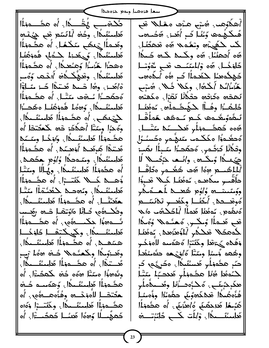سما فزوهما وموم جزوحها ثَلاة ــِب هُتُـــدًا. أَه هشَـــه; اُلْم أَهْلَاؤُهَا. هُنْها هنَّوا مَعْلَمًا هُم هَامِنْتُمَاً. وَدُهَ ٱلْمُنْتَمَ هُوَ حَيْضَهِ قُىڭيۇچە وُغُلاڭ مۇڭدۇ. ھۇسىھ وهَـٰدها أَلْمَـٰهُم مَكْـٰها. أَه هَشُدهُا أَلْمَـٰهِ لَّكَ لَكُمِيْتُرُهُ وَيُعْمَلُهُ هُوَ قَنْفَقُتُلُ. كَنْمَاءَ لِلَهُمْ لِمَمْتُمْ لِمَمْتَ الْمَعْلَمَةِ مِنْ الْمَعْنَامَةِ مِنْ الْمَعْنَامَةِ مِنْ ا هُه أُحمِنُنَا. هُه وكَسِمْ كَـهِ حَسْمًا هِ هَذَا ۚ هُنۡتُوۡ الۡ وَهُنُعَـٰهَا ۚ ﴾ أَو هَذُهِ فَلَا كَافِكُ). هُه وْالْمِيَنْـدْ هْبِ شَوْسْا كَعَلَّمْ هَذَا . وَتَعَهَّكُــكُفَ أَلَيْـتَ وَقَاسِمِ كَهِكُوهِمُا كَتَعْمَلَا كَبِرٍ هُوَ أَيْكُوهِبَ ةَأَهَد: وَهَٰا شَـٰهِ هَـٰنَهْا جَـٰ: مُّـَاوَّا هَّنْهُٱيْدَا أَحْدَهَا. وكَمَلا شَمَلا. هُـثَمَـ هُحكُحــزُا سُــوْت مَنْتُــل أُه هَجُــهِۏلُم لَهِدْهِ وَكَرْدُهِ حَثَلاًلاً لَقَرْاً. وَلَكَفْرَه هَامِمْنٌــداً. وَهوَّا هُودْهُـل وهَدَّاْ دَّاحُدُ ۚا وِهُــالَ لِـكَهَـثَــه الَّهِ . مَهمُنُــا لْحَيْبِيضَ . أَه هَشُـهِ; أَ هَامِئْنُــْمَا. تَىقُومُ مُحْسِدِ كَلّْمِ يُسْمِعُو مُعَافَظِ ا وَهَدْإِ وَمَثَلَ أَهِكُفَ; دْهِ كَعَقْتَهْلُ أَه |هُ٥٥ كَعثَـــەوْلُرٖ هُكَــِـــُكُمْ مُنْـَـــا. هذُهِذَا هَامِنْتُمِدًا. وَاوْخُط وِمُنْكُمْ ەَجْھَـەۋُا مَكَكَــەب مَنْبِهُــەرِ مَكَـنِنُــوُل مُحْتَمْلَ مَرِمَحِكَمْ أَوْهِــَكُمْ. أَه هَشُـهوَفَلَا وِثَـكَٰانًا كَرْثُــٰم، ۚ هَحكَمــُ ا ۖ مَــٰبِـلَا نَعُبِ: كَالْمُمْلَدُانِ. وَمَحْدَدُا وُٱوُمِ هِجُعَـدَ. دَيْمِلْمَا وُلْحَدِهِ. وِٱلْعَمَّدِ لَاَكْتَمَلَّا لَلَّا اْلْمَاهُـــــــمْ هِهَٰا هُت هُشُــــمْدٍ هَدَاقْـــا /َه هَڅُودَاُ! هُامِيْنَـُـدَاْ. وِيَـالَا وِـنَـنْـاِ ؤُهِـــدْ كَـــلا كَتَتَـــرْ!. أو هَذَــووَلَمُ دَاقْب مِيكَاهِدَ. مُوَهُنُا كَتَلَا: هُرْؤُا وَوَمِنْمَسْسَدِهِ وَٱوُمِ هُعَلَــدَ الْمَــدُمْرِ هَامِمْنُمِدًا. وَمُحْكُمُ كَعُنْتُمْلَا مَنْتُمْ ِ هَهُنْنَــــل: /ُه هَـدَّــدَوْلُمْ هَامِينُنْـــبِدْلَ وحُكْــرەُم، كَــانْل وَآوُتْھَــا شَــرە رَهَّـــب كَانَقُومِ. يُوهُلُمْ هُدِمَاْ أَمْكَنْ هُومَ مَا يَدْ هْمِ هُـملَا وُلگـر. هُـعنُـملا وُهُـلَا لُــــووُا حكّـــــوهُى. أو هَــُـــوواُا مَحْلِمْنُنْـــمَدًا . وِكَهِكْتُفْــا كَافْكُــا لِكُمْحَكُلا شَكْلُو ٱلْمُؤْمَنُونَ مِنْ مُؤْمَلًا وَفَكِما كِتِرْهَا وِكْتَنْزَا هُجْمَعِيهِ لِلْمَوْجُبِ ومَحْزَمُوا وِكْعَنُـمْلا كُــٰة 20\$ رَبّ وهُهو وُسِمًا وَسَنَّا هَاوَيْهُمْ حَقَّصَهُدَا مُّـــتَـٰمَّا. أَه هَــُـــهِ فَا هَامِمْتُـــماً. ِّ مَرْ مِحْمَةٍ } مِنْسُلَاءِ وَكَنْ مِنْ مِنْ مِنْ وِثَمِهِ وَا مِمَنْا مِهُو حُفِي كُمِحَيْرَا. }ه لْكُمْعَا هَٰلًا هَذُهِ فَهُمْ هُدَدَبُهُ عِنْبًا ۖ هَشُـه; أَا هَٰامِينُنُـبِدًا . وَهِمَمِــهِ حُــة هكْبِدَبِنَبِ ﴾ هُكِرُّەدْ أَمَّا وِهُـْمَدُّهُمْ فُزُّەكْىدَا شْدْكُلُومُ صَالَا بِوَّەمْبا هَنّْتَـْط لِلْمَوْخْـــرَه وِفُزّْهِ صَــرَةُهِ . أَه هذُــه; أَا هَامِينُــُــمِدًا . وِكُنُنَـــرَا وَهُ1ه هُبُمطْ هُدِهِمَّةٍ هُ/هزَّمَّدٍ. أَو هَخُوذَاً! كَعِيْسِـلًا وُ∞هُا هَتنُــا كَعجَــــٰٓژا. /ُه 

23